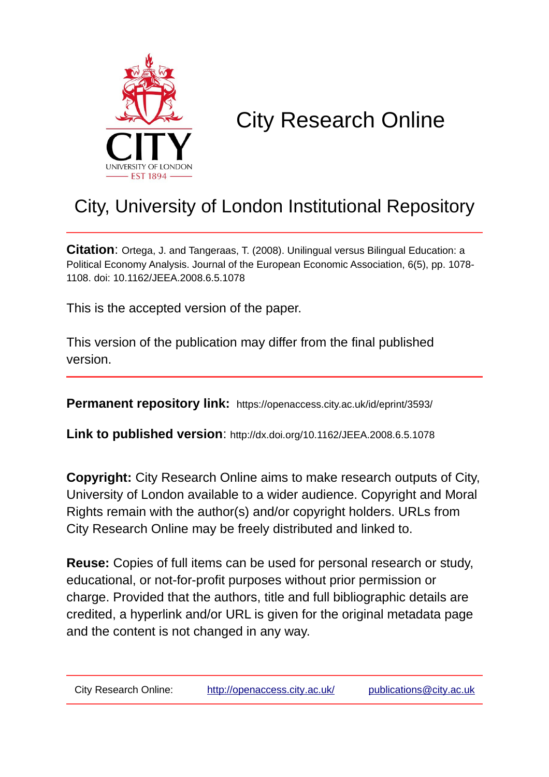

# City Research Online

## City, University of London Institutional Repository

**Citation**: Ortega, J. and Tangeraas, T. (2008). Unilingual versus Bilingual Education: a Political Economy Analysis. Journal of the European Economic Association, 6(5), pp. 1078- 1108. doi: 10.1162/JEEA.2008.6.5.1078

This is the accepted version of the paper.

This version of the publication may differ from the final published version.

**Permanent repository link:** https://openaccess.city.ac.uk/id/eprint/3593/

**Link to published version**: http://dx.doi.org/10.1162/JEEA.2008.6.5.1078

**Copyright:** City Research Online aims to make research outputs of City, University of London available to a wider audience. Copyright and Moral Rights remain with the author(s) and/or copyright holders. URLs from City Research Online may be freely distributed and linked to.

**Reuse:** Copies of full items can be used for personal research or study, educational, or not-for-profit purposes without prior permission or charge. Provided that the authors, title and full bibliographic details are credited, a hyperlink and/or URL is given for the original metadata page and the content is not changed in any way.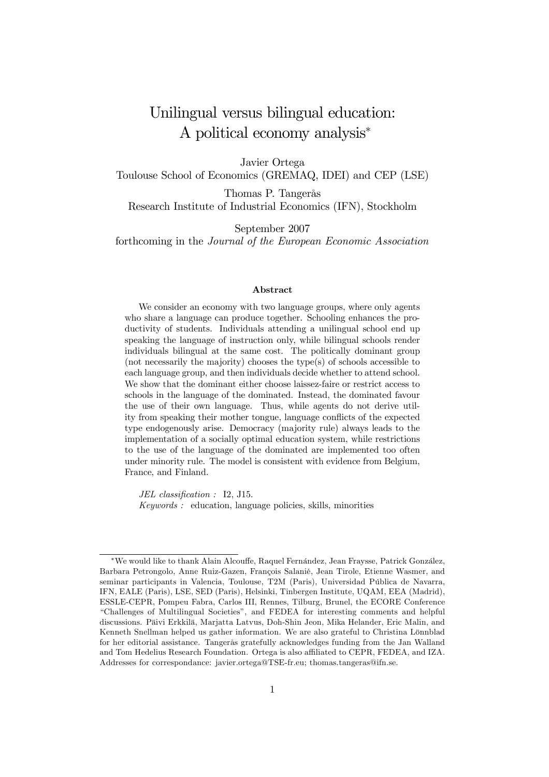## Unilingual versus bilingual education: A political economy analysis<sup>∗</sup>

Javier Ortega Toulouse School of Economics (GREMAQ, IDEI) and CEP (LSE)

Thomas P. Tangerås Research Institute of Industrial Economics (IFN), Stockholm

September 2007 forthcoming in the Journal of the European Economic Association

#### Abstract

We consider an economy with two language groups, where only agents who share a language can produce together. Schooling enhances the productivity of students. Individuals attending a unilingual school end up speaking the language of instruction only, while bilingual schools render individuals bilingual at the same cost. The politically dominant group (not necessarily the majority) chooses the type(s) of schools accessible to each language group, and then individuals decide whether to attend school. We show that the dominant either choose laissez-faire or restrict access to schools in the language of the dominated. Instead, the dominated favour the use of their own language. Thus, while agents do not derive utility from speaking their mother tongue, language conflicts of the expected type endogenously arise. Democracy (majority rule) always leads to the implementation of a socially optimal education system, while restrictions to the use of the language of the dominated are implemented too often under minority rule. The model is consistent with evidence from Belgium, France, and Finland.

JEL classification : I2, J15. Keywords : education, language policies, skills, minorities

<sup>∗</sup>We would like to thank Alain Alcouffe, Raquel Fernández, Jean Fraysse, Patrick González, Barbara Petrongolo, Anne Ruiz-Gazen, François Salanié, Jean Tirole, Etienne Wasmer, and seminar participants in Valencia, Toulouse, T2M (Paris), Universidad Pública de Navarra, IFN, EALE (Paris), LSE, SED (Paris), Helsinki, Tinbergen Institute, UQAM, EEA (Madrid), ESSLE-CEPR, Pompeu Fabra, Carlos III, Rennes, Tilburg, Brunel, the ECORE Conference "Challenges of Multilingual Societies", and FEDEA for interesting comments and helpful discussions. Päivi Erkkilä, Marjatta Latvus, Doh-Shin Jeon, Mika Helander, Eric Malin, and Kenneth Snellman helped us gather information. We are also grateful to Christina Lönnblad for her editorial assistance. Tangerås gratefully acknowledges funding from the Jan Walland and Tom Hedelius Research Foundation. Ortega is also affiliated to CEPR, FEDEA, and IZA. Addresses for correspondance: javier.ortega@TSE-fr.eu; thomas.tangeras@ifn.se.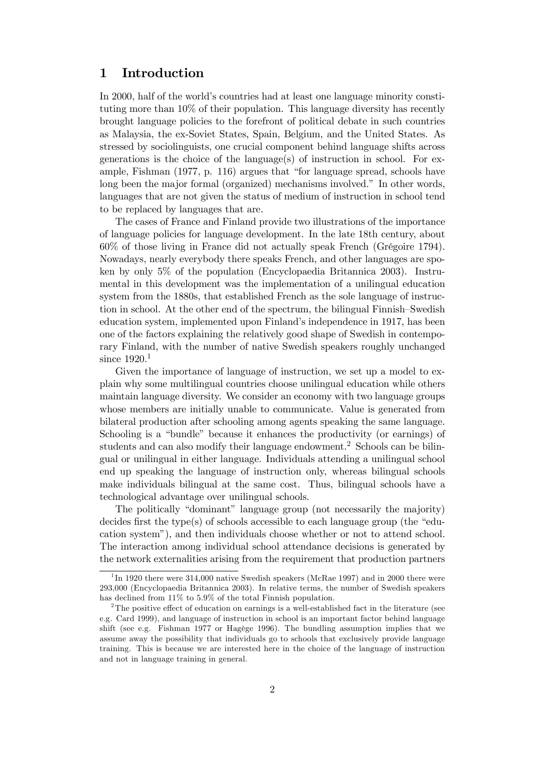## 1 Introduction

In 2000, half of the world's countries had at least one language minority constituting more than 10% of their population. This language diversity has recently brought language policies to the forefront of political debate in such countries as Malaysia, the ex-Soviet States, Spain, Belgium, and the United States. As stressed by sociolinguists, one crucial component behind language shifts across generations is the choice of the language(s) of instruction in school. For example, Fishman (1977, p. 116) argues that "for language spread, schools have long been the major formal (organized) mechanisms involved." In other words, languages that are not given the status of medium of instruction in school tend to be replaced by languages that are.

The cases of France and Finland provide two illustrations of the importance of language policies for language development. In the late 18th century, about 60% of those living in France did not actually speak French (Grégoire 1794). Nowadays, nearly everybody there speaks French, and other languages are spoken by only 5% of the population (Encyclopaedia Britannica 2003). Instrumental in this development was the implementation of a unilingual education system from the 1880s, that established French as the sole language of instruction in school. At the other end of the spectrum, the bilingual Finnish—Swedish education system, implemented upon Finland's independence in 1917, has been one of the factors explaining the relatively good shape of Swedish in contemporary Finland, with the number of native Swedish speakers roughly unchanged since  $1920.<sup>1</sup>$ 

Given the importance of language of instruction, we set up a model to explain why some multilingual countries choose unilingual education while others maintain language diversity. We consider an economy with two language groups whose members are initially unable to communicate. Value is generated from bilateral production after schooling among agents speaking the same language. Schooling is a "bundle" because it enhances the productivity (or earnings) of students and can also modify their language endowment.<sup>2</sup> Schools can be bilingual or unilingual in either language. Individuals attending a unilingual school end up speaking the language of instruction only, whereas bilingual schools make individuals bilingual at the same cost. Thus, bilingual schools have a technological advantage over unilingual schools.

The politically "dominant" language group (not necessarily the majority) decides first the type(s) of schools accessible to each language group (the "education system"), and then individuals choose whether or not to attend school. The interaction among individual school attendance decisions is generated by the network externalities arising from the requirement that production partners

<sup>&</sup>lt;sup>1</sup>In 1920 there were 314,000 native Swedish speakers (McRae 1997) and in 2000 there were 293,000 (Encyclopaedia Britannica 2003). In relative terms, the number of Swedish speakers has declined from 11% to 5.9% of the total Finnish population.

<sup>&</sup>lt;sup>2</sup>The positive effect of education on earnings is a well-established fact in the literature (see e.g. Card 1999), and language of instruction in school is an important factor behind language shift (see e.g. Fishman 1977 or Hagège 1996). The bundling assumption implies that we assume away the possibility that individuals go to schools that exclusively provide language training. This is because we are interested here in the choice of the language of instruction and not in language training in general.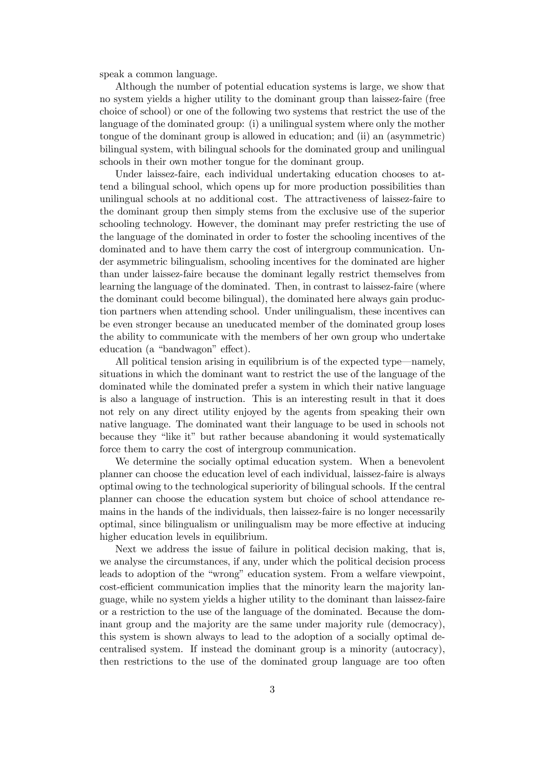speak a common language.

Although the number of potential education systems is large, we show that no system yields a higher utility to the dominant group than laissez-faire (free choice of school) or one of the following two systems that restrict the use of the language of the dominated group: (i) a unilingual system where only the mother tongue of the dominant group is allowed in education; and (ii) an (asymmetric) bilingual system, with bilingual schools for the dominated group and unilingual schools in their own mother tongue for the dominant group.

Under laissez-faire, each individual undertaking education chooses to attend a bilingual school, which opens up for more production possibilities than unilingual schools at no additional cost. The attractiveness of laissez-faire to the dominant group then simply stems from the exclusive use of the superior schooling technology. However, the dominant may prefer restricting the use of the language of the dominated in order to foster the schooling incentives of the dominated and to have them carry the cost of intergroup communication. Under asymmetric bilingualism, schooling incentives for the dominated are higher than under laissez-faire because the dominant legally restrict themselves from learning the language of the dominated. Then, in contrast to laissez-faire (where the dominant could become bilingual), the dominated here always gain production partners when attending school. Under unilingualism, these incentives can be even stronger because an uneducated member of the dominated group loses the ability to communicate with the members of her own group who undertake education (a "bandwagon" effect).

All political tension arising in equilibrium is of the expected type–namely, situations in which the dominant want to restrict the use of the language of the dominated while the dominated prefer a system in which their native language is also a language of instruction. This is an interesting result in that it does not rely on any direct utility enjoyed by the agents from speaking their own native language. The dominated want their language to be used in schools not because they "like it" but rather because abandoning it would systematically force them to carry the cost of intergroup communication.

We determine the socially optimal education system. When a benevolent planner can choose the education level of each individual, laissez-faire is always optimal owing to the technological superiority of bilingual schools. If the central planner can choose the education system but choice of school attendance remains in the hands of the individuals, then laissez-faire is no longer necessarily optimal, since bilingualism or unilingualism may be more effective at inducing higher education levels in equilibrium.

Next we address the issue of failure in political decision making, that is, we analyse the circumstances, if any, under which the political decision process leads to adoption of the "wrong" education system. From a welfare viewpoint, cost-efficient communication implies that the minority learn the majority language, while no system yields a higher utility to the dominant than laissez-faire or a restriction to the use of the language of the dominated. Because the dominant group and the majority are the same under majority rule (democracy), this system is shown always to lead to the adoption of a socially optimal decentralised system. If instead the dominant group is a minority (autocracy), then restrictions to the use of the dominated group language are too often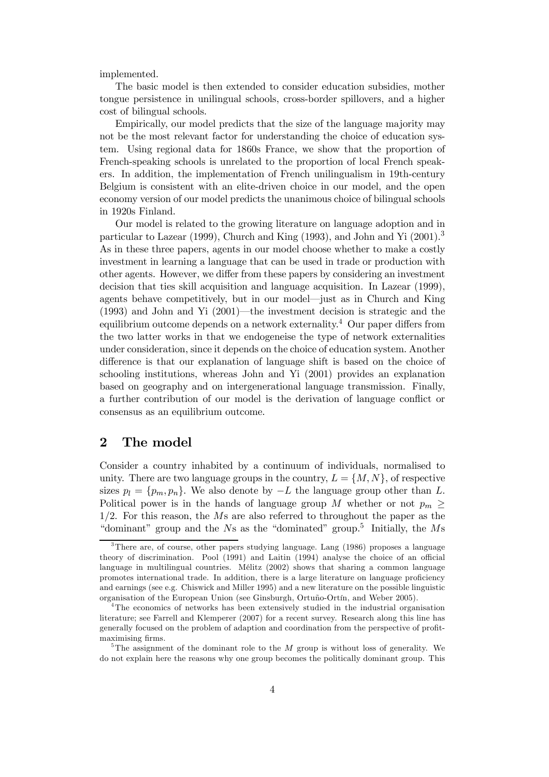implemented.

The basic model is then extended to consider education subsidies, mother tongue persistence in unilingual schools, cross-border spillovers, and a higher cost of bilingual schools.

Empirically, our model predicts that the size of the language majority may not be the most relevant factor for understanding the choice of education system. Using regional data for 1860s France, we show that the proportion of French-speaking schools is unrelated to the proportion of local French speakers. In addition, the implementation of French unilingualism in 19th-century Belgium is consistent with an elite-driven choice in our model, and the open economy version of our model predicts the unanimous choice of bilingual schools in 1920s Finland.

Our model is related to the growing literature on language adoption and in particular to Lazear (1999), Church and King (1993), and John and Yi (2001).<sup>3</sup> As in these three papers, agents in our model choose whether to make a costly investment in learning a language that can be used in trade or production with other agents. However, we differ from these papers by considering an investment decision that ties skill acquisition and language acquisition. In Lazear (1999), agents behave competitively, but in our model–just as in Church and King (1993) and John and Yi (2001)–the investment decision is strategic and the equilibrium outcome depends on a network externality.<sup>4</sup> Our paper differs from the two latter works in that we endogeneise the type of network externalities under consideration, since it depends on the choice of education system. Another difference is that our explanation of language shift is based on the choice of schooling institutions, whereas John and Yi (2001) provides an explanation based on geography and on intergenerational language transmission. Finally, a further contribution of our model is the derivation of language conflict or consensus as an equilibrium outcome.

## 2 The model

Consider a country inhabited by a continuum of individuals, normalised to unity. There are two language groups in the country,  $L = \{M, N\}$ , of respective sizes  $p_l = \{p_m, p_n\}$ . We also denote by  $-L$  the language group other than L. Political power is in the hands of language group M whether or not  $p_m \geq$ 1/2. For this reason, the Ms are also referred to throughout the paper as the "dominant" group and the  $Ns$  as the "dominated" group.<sup>5</sup> Initially, the  $Ms$ 

<sup>&</sup>lt;sup>3</sup>There are, of course, other papers studying language. Lang (1986) proposes a language theory of discrimination. Pool (1991) and Laitin (1994) analyse the choice of an official language in multilingual countries. Mélitz (2002) shows that sharing a common language promotes international trade. In addition, there is a large literature on language proficiency and earnings (see e.g. Chiswick and Miller 1995) and a new literature on the possible linguistic organisation of the European Union (see Ginsburgh, Ortuño-Ortín, and Weber 2005).

<sup>&</sup>lt;sup>4</sup>The economics of networks has been extensively studied in the industrial organisation literature; see Farrell and Klemperer (2007) for a recent survey. Research along this line has generally focused on the problem of adaption and coordination from the perspective of profitmaximising firms.

<sup>&</sup>lt;sup>5</sup>The assignment of the dominant role to the M group is without loss of generality. We do not explain here the reasons why one group becomes the politically dominant group. This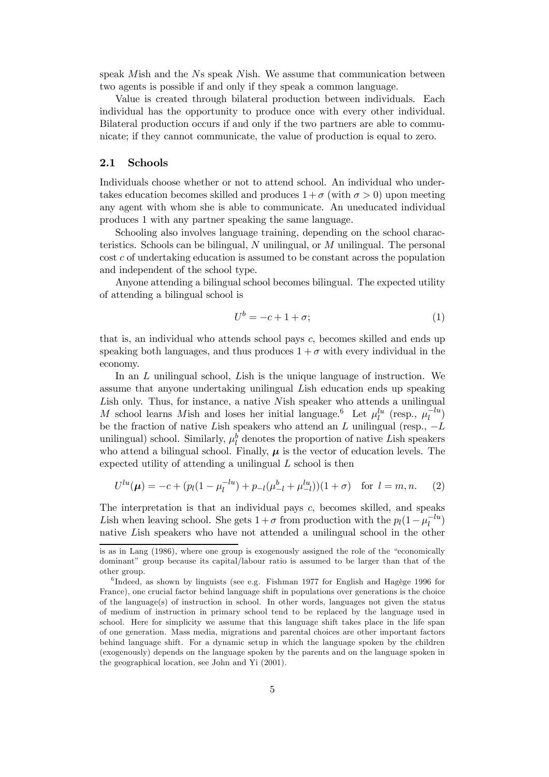speak Mish and the Ns speak Nish. We assume that communication between two agents is possible if and only if they speak a common language.

Value is created through bilateral production between individuals. Each individual has the opportunity to produce once with every other individual. Bilateral production occurs if and only if the two partners are able to communicate; if they cannot communicate, the value of production is equal to zero.

#### 2.1 Schools

Individuals choose whether or not to attend school. An individual who undertakes education becomes skilled and produces  $1 + \sigma$  (with  $\sigma > 0$ ) upon meeting any agent with whom she is able to communicate. An uneducated individual produces 1 with any partner speaking the same language.

Schooling also involves language training, depending on the school characteristics. Schools can be bilingual,  $N$  unilingual, or  $M$  unilingual. The personal  $\cot c$  of undertaking education is assumed to be constant across the population and independent of the school type.

Anyone attending a bilingual school becomes bilingual. The expected utility of attending a bilingual school is

$$
U^b = -c + 1 + \sigma; \tag{1}
$$

that is, an individual who attends school pays c, becomes skilled and ends up speaking both languages, and thus produces  $1 + \sigma$  with every individual in the economy.

In an L unilingual school, Lish is the unique language of instruction. We assume that anyone undertaking unilingual Lish education ends up speaking Lish only. Thus, for instance, a native Nish speaker who attends a unilingual M school learns Mish and loses her initial language.<sup>6</sup> Let  $\mu_l^{lu}$  (resp.,  $\mu_l^{-lu}$ )  $\binom{-\iota u}{\iota}$ be the fraction of native Lish speakers who attend an L unilingual (resp.,  $-L$ unilingual) school. Similarly,  $\mu_l^b$  denotes the proportion of native Lish speakers who attend a bilingual school. Finally,  $\mu$  is the vector of education levels. The expected utility of attending a unilingual  $L$  school is then

$$
U^{lu}(\mu) = -c + (p_l(1 - \mu_l^{-lu}) + p_{-l}(\mu_{-l}^b + \mu_{-l}^{lu})) (1 + \sigma) \text{ for } l = m, n. \tag{2}
$$

The interpretation is that an individual pays c, becomes skilled, and speaks Lish when leaving school. She gets  $1 + \sigma$  from production with the  $p_l(1-\mu_l^{-lu})$  $\binom{-\iota u}{\iota}$ native Lish speakers who have not attended a unilingual school in the other

is as in Lang (1986), where one group is exogenously assigned the role of the "economically dominant" group because its capital/labour ratio is assumed to be larger than that of the other group.

<sup>&</sup>lt;sup>6</sup>Indeed, as shown by linguists (see e.g. Fishman 1977 for English and Hagège 1996 for France), one crucial factor behind language shift in populations over generations is the choice of the language(s) of instruction in school. In other words, languages not given the status of medium of instruction in primary school tend to be replaced by the language used in school. Here for simplicity we assume that this language shift takes place in the life span of one generation. Mass media, migrations and parental choices are other important factors behind language shift. For a dynamic setup in which the language spoken by the children (exogenously) depends on the language spoken by the parents and on the language spoken in the geographical location, see John and Yi (2001).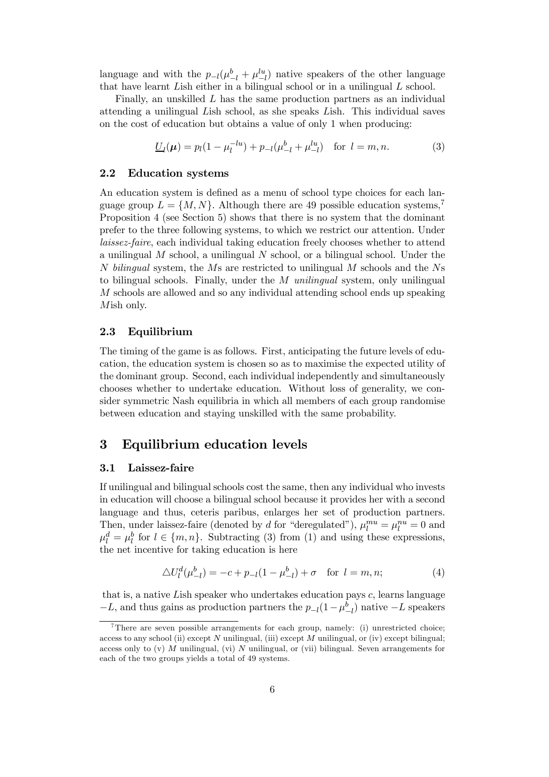language and with the  $p_{-l}(\mu_{-l}^b + \mu_{-l}^{lu})$  native speakers of the other language that have learnt Lish either in a bilingual school or in a unilingual L school.

Finally, an unskilled L has the same production partners as an individual attending a unilingual Lish school, as she speaks Lish. This individual saves on the cost of education but obtains a value of only 1 when producing:

$$
\underline{U}_l(\mu) = p_l(1 - \mu_l^{-lu}) + p_{-l}(\mu_{-l}^b + \mu_{-l}^{lu}) \quad \text{for } l = m, n. \tag{3}
$$

#### 2.2 Education systems

An education system is defined as a menu of school type choices for each language group  $L = \{M, N\}$ . Although there are 49 possible education systems,<sup>7</sup> Proposition 4 (see Section 5) shows that there is no system that the dominant prefer to the three following systems, to which we restrict our attention. Under laissez-faire, each individual taking education freely chooses whether to attend a unilingual  $M$  school, a unilingual  $N$  school, or a bilingual school. Under the N bilingual system, the Ms are restricted to unilingual M schools and the Ns to bilingual schools. Finally, under the M unilingual system, only unilingual M schools are allowed and so any individual attending school ends up speaking Mish only.

#### 2.3 Equilibrium

The timing of the game is as follows. First, anticipating the future levels of education, the education system is chosen so as to maximise the expected utility of the dominant group. Second, each individual independently and simultaneously chooses whether to undertake education. Without loss of generality, we consider symmetric Nash equilibria in which all members of each group randomise between education and staying unskilled with the same probability.

### 3 Equilibrium education levels

#### 3.1 Laissez-faire

If unilingual and bilingual schools cost the same, then any individual who invests in education will choose a bilingual school because it provides her with a second language and thus, ceteris paribus, enlarges her set of production partners. Then, under laissez-faire (denoted by d for "deregulated"),  $\mu_l^{mu} = \mu_l^{nu} = 0$  and  $\mu_l^d = \mu_l^b$  for  $l \in \{m, n\}$ . Subtracting (3) from (1) and using these expressions, the net incentive for taking education is here

$$
\Delta U_l^d(\mu_{-l}^b) = -c + p_{-l}(1 - \mu_{-l}^b) + \sigma \quad \text{for } l = m, n; \tag{4}
$$

that is, a native Lish speaker who undertakes education pays  $c$ , learns language  $-L$ , and thus gains as production partners the  $p_{-l}(1-\mu_{-l}^b)$  native  $-L$  speakers

<sup>&</sup>lt;sup>7</sup>There are seven possible arrangements for each group, namely: (i) unrestricted choice; access to any school (ii) except N unilingual, (iii) except M unilingual, or (iv) except bilingual; access only to  $(v)$  M unilingual,  $(vi)$  N unilingual, or  $(vii)$  bilingual. Seven arrangements for each of the two groups yields a total of 49 systems.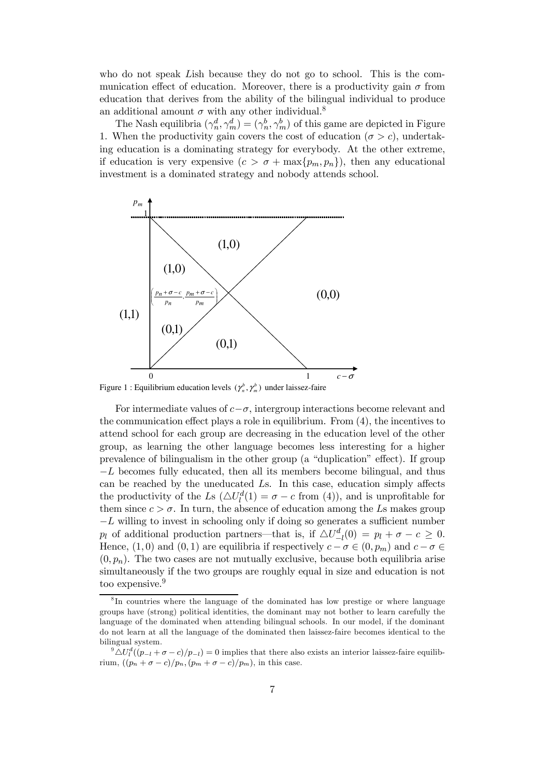who do not speak Lish because they do not go to school. This is the communication effect of education. Moreover, there is a productivity gain  $\sigma$  from education that derives from the ability of the bilingual individual to produce an additional amount  $\sigma$  with any other individual.<sup>8</sup>

The Nash equilibria  $(\gamma_n^d, \gamma_m^d) = (\gamma_n^b, \gamma_m^b)$  of this game are depicted in Figure 1. When the productivity gain covers the cost of education ( $\sigma > c$ ), undertaking education is a dominating strategy for everybody. At the other extreme, if education is very expensive  $(c > \sigma + \max\{p_m, p_n\})$ , then any educational investment is a dominated strategy and nobody attends school.



Figure 1 : Equilibrium education levels  $(\gamma_n^b, \gamma_m^b)$  under laissez-faire

For intermediate values of  $c-\sigma$ , intergroup interactions become relevant and the communication effect plays a role in equilibrium. From (4), the incentives to attend school for each group are decreasing in the education level of the other group, as learning the other language becomes less interesting for a higher prevalence of bilingualism in the other group (a "duplication" effect). If group  $-L$  becomes fully educated, then all its members become bilingual, and thus can be reached by the uneducated Ls. In this case, education simply affects the productivity of the Ls  $(\Delta U_l^d(1) = \sigma - c$  from (4)), and is unprofitable for them since  $c > \sigma$ . In turn, the absence of education among the Ls makes group  $-L$  willing to invest in schooling only if doing so generates a sufficient number p<sub>l</sub> of additional production partners—that is, if  $\Delta U_{-l}^d(0) = p_l + \sigma - c \geq 0$ . Hence,  $(1,0)$  and  $(0,1)$  are equilibria if respectively  $c - \sigma \in (0, p_m)$  and  $c - \sigma \in$  $(0, p_n)$ . The two cases are not mutually exclusive, because both equilibria arise simultaneously if the two groups are roughly equal in size and education is not too expensive.<sup>9</sup>

<sup>&</sup>lt;sup>8</sup>In countries where the language of the dominated has low prestige or where language groups have (strong) political identities, the dominant may not bother to learn carefully the language of the dominated when attending bilingual schools. In our model, if the dominant do not learn at all the language of the dominated then laissez-faire becomes identical to the bilingual system.

 $\Delta U_l^d((p_{-l} + \sigma - c)/p_{-l}) = 0$  implies that there also exists an interior laissez-faire equilibrium,  $((p_n + \sigma - c)/p_n, (p_m + \sigma - c)/p_m)$ , in this case.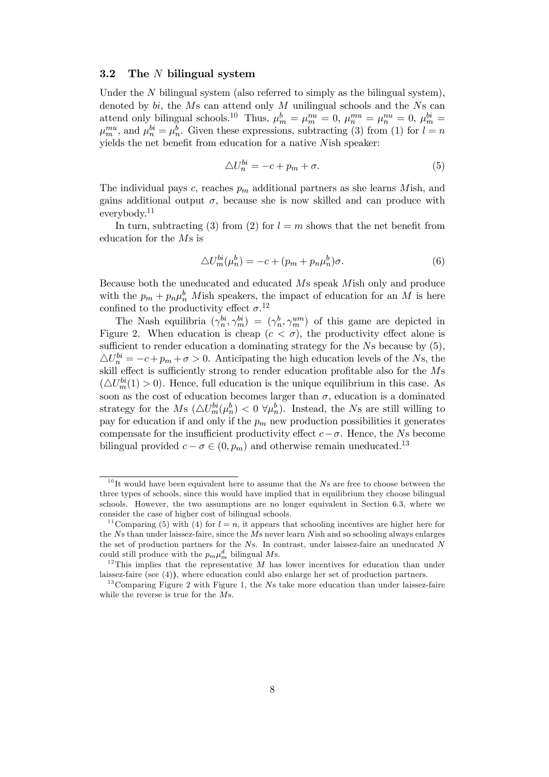#### 3.2 The N bilingual system

Under the  $N$  bilingual system (also referred to simply as the bilingual system), denoted by  $bi$ , the  $Ms$  can attend only  $M$  unilingual schools and the  $Ns$  can attend only bilingual schools.<sup>10</sup> Thus,  $\mu_m^b = \mu_m^{nu} = 0$ ,  $\mu_n^{mu} = \mu_n^{nu} = 0$ ,  $\mu_m^{bi} =$  $\mu_m^{mu}$ , and  $\mu_n^{bi} = \mu_n^b$ . Given these expressions, subtracting (3) from (1) for  $l = n$ yields the net benefit from education for a native Nish speaker:

$$
\triangle U_n^{bi} = -c + p_m + \sigma. \tag{5}
$$

The individual pays c, reaches  $p_m$  additional partners as she learns Mish, and gains additional output  $\sigma$ , because she is now skilled and can produce with everybody.<sup>11</sup>

In turn, subtracting (3) from (2) for  $l = m$  shows that the net benefit from education for the Ms is

$$
\Delta U_m^{bi}(\mu_n^b) = -c + (p_m + p_n \mu_n^b)\sigma.
$$
\n(6)

Because both the uneducated and educated Ms speak Mish only and produce with the  $p_m + p_n \mu_n^b$  Mish speakers, the impact of education for an M is here confined to the productivity effect  $\sigma$ <sup>12</sup>

The Nash equilibria  $(\gamma_n^{bi}, \gamma_m^{bi}) = (\gamma_n^b, \gamma_m^{um})$  of this game are depicted in Figure 2. When education is cheap  $(c < \sigma)$ , the productivity effect alone is sufficient to render education a dominating strategy for the Ns because by  $(5)$ ,  $\Delta U_n^{bi} = -c + p_m + \sigma > 0$ . Anticipating the high education levels of the Ns, the skill effect is sufficiently strong to render education profitable also for the Ms  $(\triangle U_m^{bi}(1) > 0)$ . Hence, full education is the unique equilibrium in this case. As soon as the cost of education becomes larger than  $\sigma$ , education is a dominated strategy for the Ms  $(\Delta U_m^{bi}(\mu_n^b) < 0 \ \forall \mu_n^b)$ . Instead, the Ns are still willing to pay for education if and only if the  $p_m$  new production possibilities it generates compensate for the insufficient productivity effect  $c - \sigma$ . Hence, the Ns become bilingual provided  $c - \sigma \in (0, p_m)$  and otherwise remain uneducated.<sup>13</sup>

 $10$ It would have been equivalent here to assume that the Ns are free to choose between the three types of schools, since this would have implied that in equilibrium they choose bilingual schools. However, the two assumptions are no longer equivalent in Section 6.3, where we consider the case of higher cost of bilingual schools.

<sup>&</sup>lt;sup>11</sup> Comparing (5) with (4) for  $l = n$ , it appears that schooling incentives are higher here for the Ns than under laissez-faire, since the Ms never learn Nish and so schooling always enlarges the set of production partners for the Ns. In contrast, under laissez-faire an uneducated N could still produce with the  $p_m \mu_m^d$  bilingual Ms.

<sup>&</sup>lt;sup>12</sup>This implies that the representative M has lower incentives for education than under laissez-faire (see (4)), where education could also enlarge her set of production partners.

 $13$ Comparing Figure 2 with Figure 1, the Ns take more education than under laissez-faire while the reverse is true for the Ms.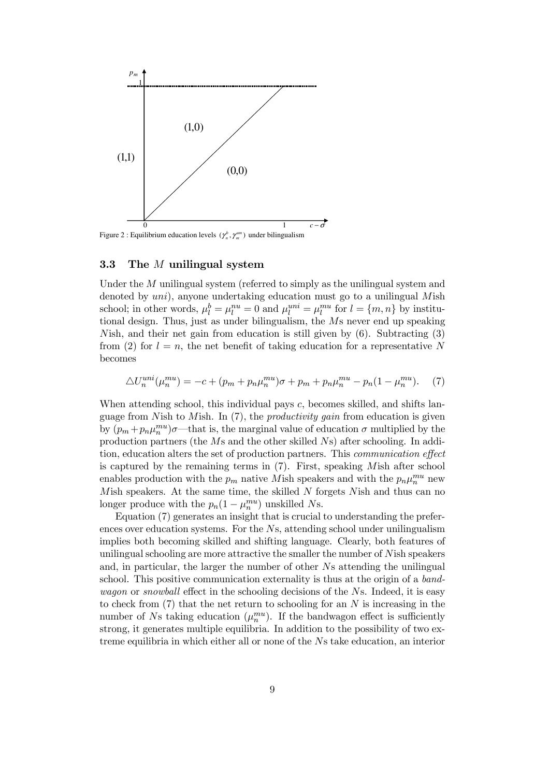

Figure 2 : Equilibrium education levels  $(\gamma_n^b, \gamma_m^{\mu m})$  under bilingualism

#### 3.3 The M unilingual system

Under the M unilingual system (referred to simply as the unilingual system and denoted by uni), anyone undertaking education must go to a unilingual Mish school; in other words,  $\mu_l^b = \mu_l^{nu} = 0$  and  $\mu_l^{uni} = \mu_l^{mu}$  for  $l = \{m, n\}$  by institutional design. Thus, just as under bilingualism, the Ms never end up speaking Nish, and their net gain from education is still given by (6). Subtracting (3) from (2) for  $l = n$ , the net benefit of taking education for a representative N becomes

$$
\Delta U_n^{uni}(\mu_n^{mu}) = -c + (p_m + p_n \mu_n^{mu})\sigma + p_m + p_n \mu_n^{mu} - p_n(1 - \mu_n^{mu}).
$$
 (7)

When attending school, this individual pays c, becomes skilled, and shifts language from Nish to Mish. In  $(7)$ , the *productivity gain* from education is given by  $(p_m + p_n \mu_n^{mu})\sigma$ —that is, the marginal value of education  $\sigma$  multiplied by the production partners (the Ms and the other skilled Ns) after schooling. In addition, education alters the set of production partners. This communication effect is captured by the remaining terms in (7). First, speaking Mish after school enables production with the  $p_m$  native Mish speakers and with the  $p_n\mu_n^{mu}$  new Mish speakers. At the same time, the skilled  $N$  forgets Nish and thus can no longer produce with the  $p_n(1-\mu_n^{mu})$  unskilled Ns.

Equation (7) generates an insight that is crucial to understanding the preferences over education systems. For the Ns, attending school under unilingualism implies both becoming skilled and shifting language. Clearly, both features of unilingual schooling are more attractive the smaller the number of Nish speakers and, in particular, the larger the number of other Ns attending the unilingual school. This positive communication externality is thus at the origin of a bandwagon or snowball effect in the schooling decisions of the Ns. Indeed, it is easy to check from  $(7)$  that the net return to schooling for an N is increasing in the number of Ns taking education  $(\mu_n^{mu})$ . If the bandwagon effect is sufficiently strong, it generates multiple equilibria. In addition to the possibility of two extreme equilibria in which either all or none of the Ns take education, an interior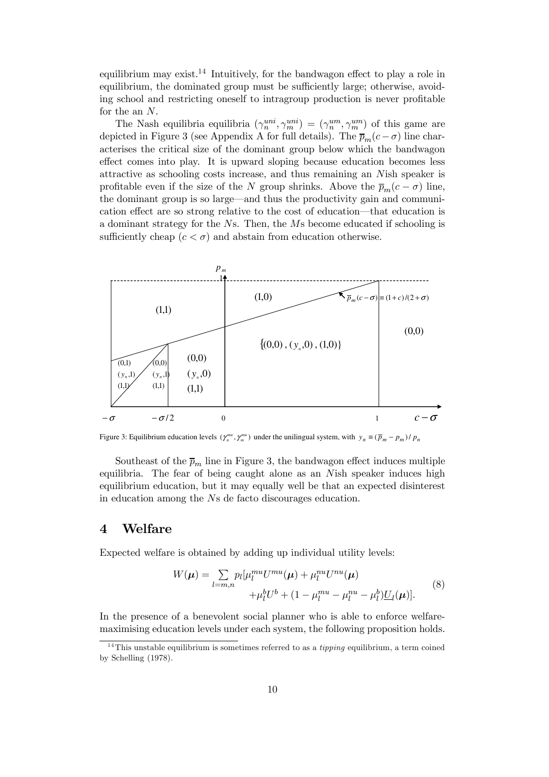equilibrium may exist.<sup>14</sup> Intuitively, for the bandwagon effect to play a role in equilibrium, the dominated group must be sufficiently large; otherwise, avoiding school and restricting oneself to intragroup production is never profitable for the an N.

The Nash equilibria equilibria  $(\gamma_n^{uni}, \gamma_m^{uni}) = (\gamma_n^{um}, \gamma_m^{um})$  of this game are depicted in Figure 3 (see Appendix A for full details). The  $\bar{p}_m(c - \sigma)$  line characterises the critical size of the dominant group below which the bandwagon effect comes into play. It is upward sloping because education becomes less attractive as schooling costs increase, and thus remaining an Nish speaker is profitable even if the size of the N group shrinks. Above the  $\bar{p}_m(c - \sigma)$  line, the dominant group is so large–and thus the productivity gain and communication effect are so strong relative to the cost of education–that education is a dominant strategy for the Ns. Then, the Ms become educated if schooling is sufficiently cheap  $(c < \sigma)$  and abstain from education otherwise.



Figure 3: Equilibrium education levels  $(\gamma_n^{mu}, \gamma_m^{mu})$  under the unilingual system, with  $y_n \equiv (\bar{p}_m - p_m) / p_n$ 

Southeast of the  $\bar{p}_m$  line in Figure 3, the bandwagon effect induces multiple equilibria. The fear of being caught alone as an Nish speaker induces high equilibrium education, but it may equally well be that an expected disinterest in education among the Ns de facto discourages education.

#### 4 Welfare

Expected welfare is obtained by adding up individual utility levels:

$$
W(\mu) = \sum_{l=m,n} p_l [\mu_l^{mu} U^{mu} (\mu) + \mu_l^{nu} U^{nu} (\mu) + \mu_l^{h} U^{h} (\mu) + \mu_l^{h} U^{h} + (1 - \mu_l^{mu} - \mu_l^{h}) U_l(\mu)].
$$
\n(8)

In the presence of a benevolent social planner who is able to enforce welfaremaximising education levels under each system, the following proposition holds.

<sup>&</sup>lt;sup>14</sup>This unstable equilibrium is sometimes referred to as a *tipping* equilibrium, a term coined by Schelling (1978).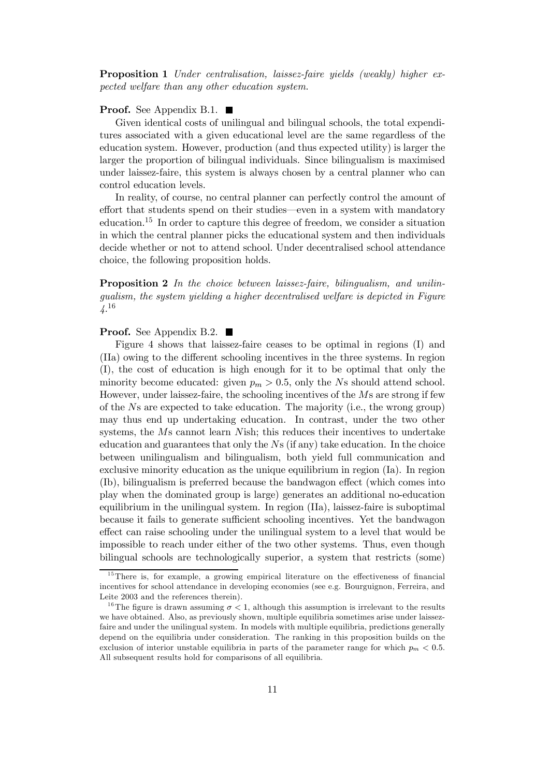Proposition 1 Under centralisation, laissez-faire yields (weakly) higher expected welfare than any other education system.

#### **Proof.** See Appendix B.1.  $\blacksquare$

Given identical costs of unilingual and bilingual schools, the total expenditures associated with a given educational level are the same regardless of the education system. However, production (and thus expected utility) is larger the larger the proportion of bilingual individuals. Since bilingualism is maximised under laissez-faire, this system is always chosen by a central planner who can control education levels.

In reality, of course, no central planner can perfectly control the amount of effort that students spend on their studies–even in a system with mandatory education.<sup>15</sup> In order to capture this degree of freedom, we consider a situation in which the central planner picks the educational system and then individuals decide whether or not to attend school. Under decentralised school attendance choice, the following proposition holds.

**Proposition 2** In the choice between laissez-faire, bilingualism, and unilingualism, the system yielding a higher decentralised welfare is depicted in Figure  $\frac{1}{4}$ . 16

#### **Proof.** See Appendix B.2.  $\blacksquare$

Figure 4 shows that laissez-faire ceases to be optimal in regions (I) and (IIa) owing to the different schooling incentives in the three systems. In region (I), the cost of education is high enough for it to be optimal that only the minority become educated: given  $p_m > 0.5$ , only the Ns should attend school. However, under laissez-faire, the schooling incentives of the Ms are strong if few of the Ns are expected to take education. The majority (i.e., the wrong group) may thus end up undertaking education. In contrast, under the two other systems, the Ms cannot learn Nish; this reduces their incentives to undertake education and guarantees that only the  $Ns$  (if any) take education. In the choice between unilingualism and bilingualism, both yield full communication and exclusive minority education as the unique equilibrium in region (Ia). In region (Ib), bilingualism is preferred because the bandwagon effect (which comes into play when the dominated group is large) generates an additional no-education equilibrium in the unilingual system. In region (IIa), laissez-faire is suboptimal because it fails to generate sufficient schooling incentives. Yet the bandwagon effect can raise schooling under the unilingual system to a level that would be impossible to reach under either of the two other systems. Thus, even though bilingual schools are technologically superior, a system that restricts (some)

 $15$ There is, for example, a growing empirical literature on the effectiveness of financial incentives for school attendance in developing economies (see e.g. Bourguignon, Ferreira, and Leite 2003 and the references therein).

<sup>&</sup>lt;sup>16</sup>The figure is drawn assuming  $\sigma < 1$ , although this assumption is irrelevant to the results we have obtained. Also, as previously shown, multiple equilibria sometimes arise under laissezfaire and under the unilingual system. In models with multiple equilibria, predictions generally depend on the equilibria under consideration. The ranking in this proposition builds on the exclusion of interior unstable equilibria in parts of the parameter range for which  $p_m < 0.5$ . All subsequent results hold for comparisons of all equilibria.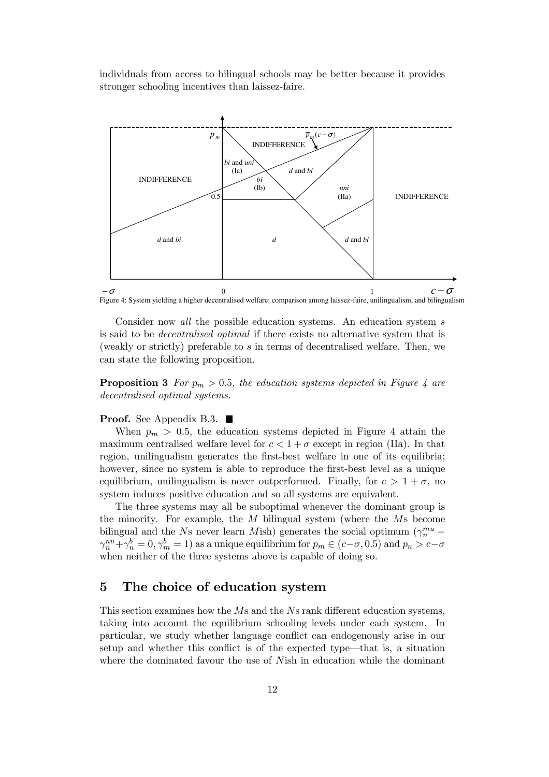individuals from access to bilingual schools may be better because it provides stronger schooling incentives than laissez-faire.



Figure 4: System yielding a higher decentralised welfare: comparison among laissez-faire, unilingualism, and bilingualism

Consider now all the possible education systems. An education system s is said to be decentralised optimal if there exists no alternative system that is (weakly or strictly) preferable to s in terms of decentralised welfare. Then, we can state the following proposition.

**Proposition 3** For  $p_m > 0.5$ , the education systems depicted in Figure 4 are decentralised optimal systems.

#### **Proof.** See Appendix B.3.  $\blacksquare$

When  $p_m > 0.5$ , the education systems depicted in Figure 4 attain the maximum centralised welfare level for  $c < 1 + \sigma$  except in region (IIa). In that region, unilingualism generates the first-best welfare in one of its equilibria; however, since no system is able to reproduce the first-best level as a unique equilibrium, unilingualism is never outperformed. Finally, for  $c > 1 + \sigma$ , no system induces positive education and so all systems are equivalent.

The three systems may all be suboptimal whenever the dominant group is the minority. For example, the  $M$  bilingual system (where the  $M$ s become bilingual and the Ns never learn Mish) generates the social optimum  $(\gamma_n^{mu} +$  $\gamma_n^{nu} + \gamma_n^b = 0$ ,  $\gamma_m^b = 1$ ) as a unique equilibrium for  $p_m \in (c - \sigma, 0.5)$  and  $p_n > c - \sigma$ when neither of the three systems above is capable of doing so.

## 5 The choice of education system

This section examines how the Ms and the Ns rank different education systems, taking into account the equilibrium schooling levels under each system. In particular, we study whether language conflict can endogenously arise in our setup and whether this conflict is of the expected type–that is, a situation where the dominated favour the use of Nish in education while the dominant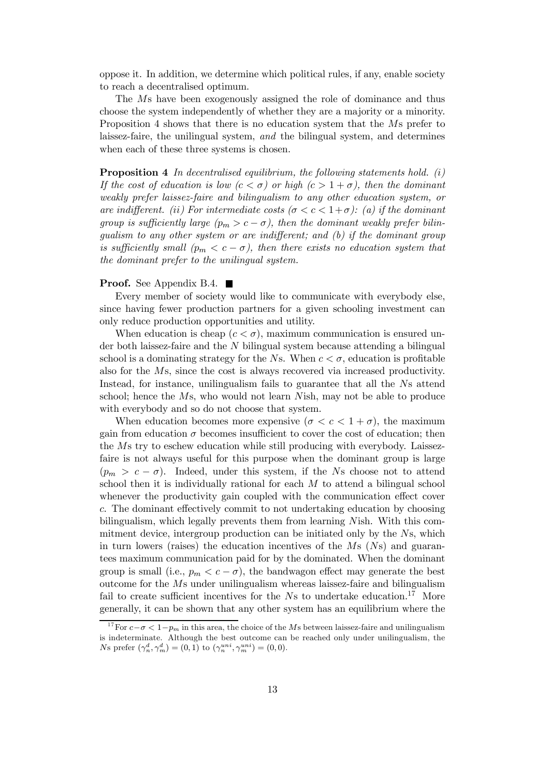oppose it. In addition, we determine which political rules, if any, enable society to reach a decentralised optimum.

The Ms have been exogenously assigned the role of dominance and thus choose the system independently of whether they are a majority or a minority. Proposition 4 shows that there is no education system that the Ms prefer to laissez-faire, the unilingual system, and the bilingual system, and determines when each of these three systems is chosen.

**Proposition 4** In decentralised equilibrium, the following statements hold.  $(i)$ If the cost of education is low  $(c < \sigma)$  or high  $(c > 1 + \sigma)$ , then the dominant weakly prefer laissez-faire and bilingualism to any other education system, or are indifferent. (ii) For intermediate costs ( $\sigma < c < 1+\sigma$ ): (a) if the dominant group is sufficiently large  $(p_m > c - \sigma)$ , then the dominant weakly prefer bilingualism to any other system or are indifferent; and (b) if the dominant group is sufficiently small  $(p_m < c - \sigma)$ , then there exists no education system that the dominant prefer to the unilingual system.

#### **Proof.** See Appendix B.4.  $\blacksquare$

Every member of society would like to communicate with everybody else, since having fewer production partners for a given schooling investment can only reduce production opportunities and utility.

When education is cheap  $(c < \sigma)$ , maximum communication is ensured under both laissez-faire and the N bilingual system because attending a bilingual school is a dominating strategy for the Ns. When  $c < \sigma$ , education is profitable also for the Ms, since the cost is always recovered via increased productivity. Instead, for instance, unilingualism fails to guarantee that all the Ns attend school; hence the Ms, who would not learn Nish, may not be able to produce with everybody and so do not choose that system.

When education becomes more expensive  $(\sigma < c < 1 + \sigma)$ , the maximum gain from education  $\sigma$  becomes insufficient to cover the cost of education; then the Ms try to eschew education while still producing with everybody. Laissezfaire is not always useful for this purpose when the dominant group is large  $(p_m > c - \sigma)$ . Indeed, under this system, if the Ns choose not to attend school then it is individually rational for each  $M$  to attend a bilingual school whenever the productivity gain coupled with the communication effect cover c. The dominant effectively commit to not undertaking education by choosing bilingualism, which legally prevents them from learning Nish. With this commitment device, intergroup production can be initiated only by the Ns, which in turn lowers (raises) the education incentives of the  $Ms$  (Ns) and guarantees maximum communication paid for by the dominated. When the dominant group is small (i.e.,  $p_m < c - \sigma$ ), the bandwagon effect may generate the best outcome for the Ms under unilingualism whereas laissez-faire and bilingualism fail to create sufficient incentives for the  $Ns$  to undertake education.<sup>17</sup> More generally, it can be shown that any other system has an equilibrium where the

<sup>&</sup>lt;sup>17</sup>For  $c-\sigma < 1-p_m$  in this area, the choice of the Ms between laissez-faire and unilingualism is indeterminate. Although the best outcome can be reached only under unilingualism, the Ns prefer  $(\gamma_n^d, \gamma_m^d) = (0, 1)$  to  $(\gamma_n^{uni}, \gamma_m^{uni}) = (0, 0)$ .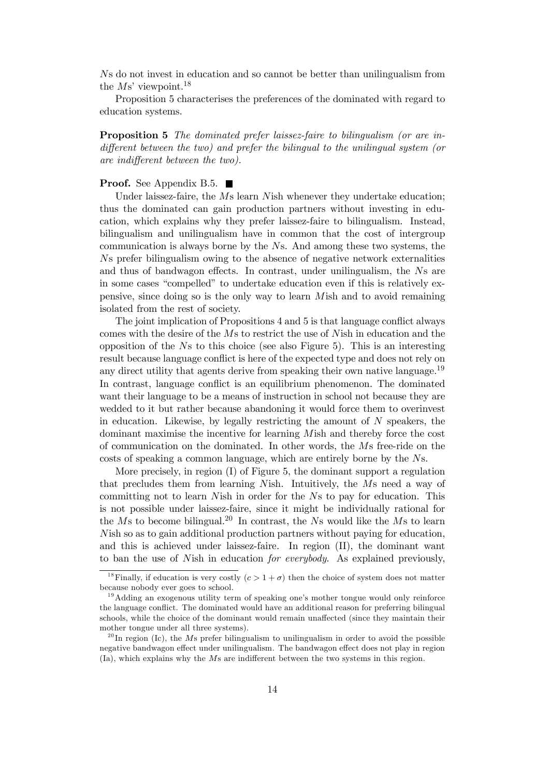Ns do not invest in education and so cannot be better than unilingualism from the  $Ms'$  viewpoint.<sup>18</sup>

Proposition 5 characterises the preferences of the dominated with regard to education systems.

Proposition 5 The dominated prefer laissez-faire to bilingualism (or are indifferent between the two) and prefer the bilingual to the unilingual system (or are indifferent between the two).

#### **Proof.** See Appendix B.5. ■

Under laissez-faire, the Ms learn Nish whenever they undertake education; thus the dominated can gain production partners without investing in education, which explains why they prefer laissez-faire to bilingualism. Instead, bilingualism and unilingualism have in common that the cost of intergroup communication is always borne by the Ns. And among these two systems, the Ns prefer bilingualism owing to the absence of negative network externalities and thus of bandwagon effects. In contrast, under unilingualism, the Ns are in some cases "compelled" to undertake education even if this is relatively expensive, since doing so is the only way to learn Mish and to avoid remaining isolated from the rest of society.

The joint implication of Propositions 4 and 5 is that language conflict always comes with the desire of the Ms to restrict the use of Nish in education and the opposition of the Ns to this choice (see also Figure 5). This is an interesting result because language conflict is here of the expected type and does not rely on any direct utility that agents derive from speaking their own native language.<sup>19</sup> In contrast, language conflict is an equilibrium phenomenon. The dominated want their language to be a means of instruction in school not because they are wedded to it but rather because abandoning it would force them to overinvest in education. Likewise, by legally restricting the amount of  $N$  speakers, the dominant maximise the incentive for learning Mish and thereby force the cost of communication on the dominated. In other words, the Ms free-ride on the costs of speaking a common language, which are entirely borne by the Ns.

More precisely, in region (I) of Figure 5, the dominant support a regulation that precludes them from learning Nish. Intuitively, the Ms need a way of committing not to learn Nish in order for the Ns to pay for education. This is not possible under laissez-faire, since it might be individually rational for the Ms to become bilingual.<sup>20</sup> In contrast, the Ns would like the Ms to learn Nish so as to gain additional production partners without paying for education, and this is achieved under laissez-faire. In region (II), the dominant want to ban the use of Nish in education for everybody. As explained previously,

<sup>&</sup>lt;sup>18</sup>Finally, if education is very costly  $(c > 1 + \sigma)$  then the choice of system does not matter because nobody ever goes to school.

 $19$ Adding an exogenous utility term of speaking one's mother tongue would only reinforce the language conflict. The dominated would have an additional reason for preferring bilingual schools, while the choice of the dominant would remain unaffected (since they maintain their mother tongue under all three systems).

 $^{20}$ In region (Ic), the Ms prefer bilingualism to unilingualism in order to avoid the possible negative bandwagon effect under unilingualism. The bandwagon effect does not play in region (Ia), which explains why the Ms are indifferent between the two systems in this region.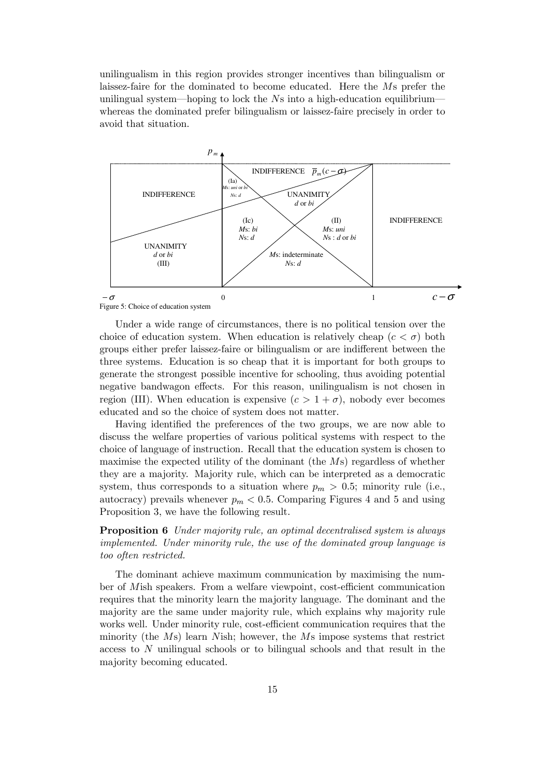unilingualism in this region provides stronger incentives than bilingualism or laissez-faire for the dominated to become educated. Here the Ms prefer the unilingual system—hoping to lock the  $N_s$  into a high-education equilibrium whereas the dominated prefer bilingualism or laissez-faire precisely in order to avoid that situation.



Under a wide range of circumstances, there is no political tension over the choice of education system. When education is relatively cheap  $(c < \sigma)$  both groups either prefer laissez-faire or bilingualism or are indifferent between the three systems. Education is so cheap that it is important for both groups to generate the strongest possible incentive for schooling, thus avoiding potential negative bandwagon effects. For this reason, unilingualism is not chosen in region (III). When education is expensive  $(c > 1 + \sigma)$ , nobody ever becomes educated and so the choice of system does not matter.

Having identified the preferences of the two groups, we are now able to discuss the welfare properties of various political systems with respect to the choice of language of instruction. Recall that the education system is chosen to maximise the expected utility of the dominant (the Ms) regardless of whether they are a majority. Majority rule, which can be interpreted as a democratic system, thus corresponds to a situation where  $p_m > 0.5$ ; minority rule (i.e., autocracy) prevails whenever  $p_m < 0.5$ . Comparing Figures 4 and 5 and using Proposition 3, we have the following result.

Proposition 6 Under majority rule, an optimal decentralised system is always implemented. Under minority rule, the use of the dominated group language is too often restricted.

The dominant achieve maximum communication by maximising the number of Mish speakers. From a welfare viewpoint, cost-efficient communication requires that the minority learn the majority language. The dominant and the majority are the same under majority rule, which explains why majority rule works well. Under minority rule, cost-efficient communication requires that the minority (the Ms) learn Nish; however, the Ms impose systems that restrict access to N unilingual schools or to bilingual schools and that result in the majority becoming educated.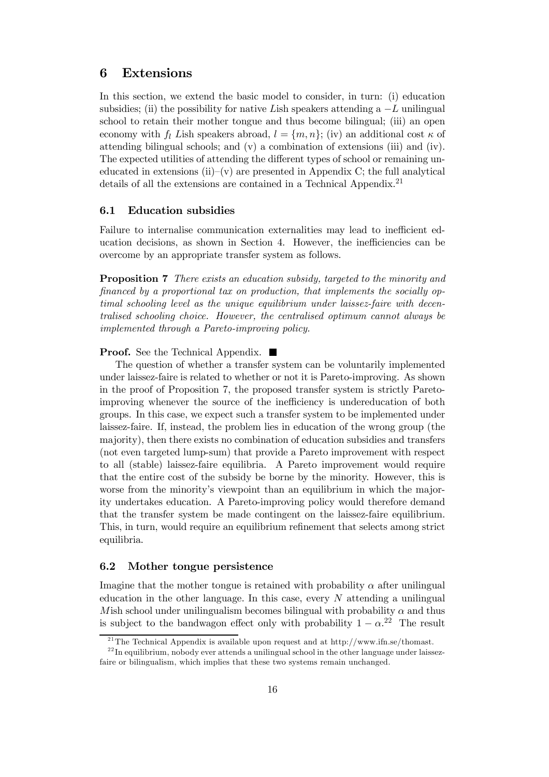## 6 Extensions

In this section, we extend the basic model to consider, in turn: (i) education subsidies; (ii) the possibility for native Lish speakers attending a  $-L$  unilingual school to retain their mother tongue and thus become bilingual; (iii) an open economy with  $f_l$  Lish speakers abroad,  $l = \{m, n\}$ ; (iv) an additional cost  $\kappa$  of attending bilingual schools; and (v) a combination of extensions (iii) and (iv). The expected utilities of attending the different types of school or remaining uneducated in extensions (ii)–(v) are presented in Appendix C; the full analytical details of all the extensions are contained in a Technical Appendix.<sup>21</sup>

#### 6.1 Education subsidies

Failure to internalise communication externalities may lead to inefficient education decisions, as shown in Section 4. However, the inefficiencies can be overcome by an appropriate transfer system as follows.

Proposition 7 There exists an education subsidy, targeted to the minority and financed by a proportional tax on production, that implements the socially optimal schooling level as the unique equilibrium under laissez-faire with decentralised schooling choice. However, the centralised optimum cannot always be implemented through a Pareto-improving policy.

**Proof.** See the Technical Appendix. ■

The question of whether a transfer system can be voluntarily implemented under laissez-faire is related to whether or not it is Pareto-improving. As shown in the proof of Proposition 7, the proposed transfer system is strictly Paretoimproving whenever the source of the inefficiency is undereducation of both groups. In this case, we expect such a transfer system to be implemented under laissez-faire. If, instead, the problem lies in education of the wrong group (the majority), then there exists no combination of education subsidies and transfers (not even targeted lump-sum) that provide a Pareto improvement with respect to all (stable) laissez-faire equilibria. A Pareto improvement would require that the entire cost of the subsidy be borne by the minority. However, this is worse from the minority's viewpoint than an equilibrium in which the majority undertakes education. A Pareto-improving policy would therefore demand that the transfer system be made contingent on the laissez-faire equilibrium. This, in turn, would require an equilibrium refinement that selects among strict equilibria.

#### 6.2 Mother tongue persistence

Imagine that the mother tongue is retained with probability  $\alpha$  after unilingual education in the other language. In this case, every  $N$  attending a unilingual Mish school under unilingualism becomes bilingual with probability  $\alpha$  and thus is subject to the bandwagon effect only with probability  $1 - \alpha^{22}$  The result

<sup>&</sup>lt;sup>21</sup>The Technical Appendix is available upon request and at http://www.ifn.se/thomast.

 $^{22}$ In equilibrium, nobody ever attends a unilingual school in the other language under laissezfaire or bilingualism, which implies that these two systems remain unchanged.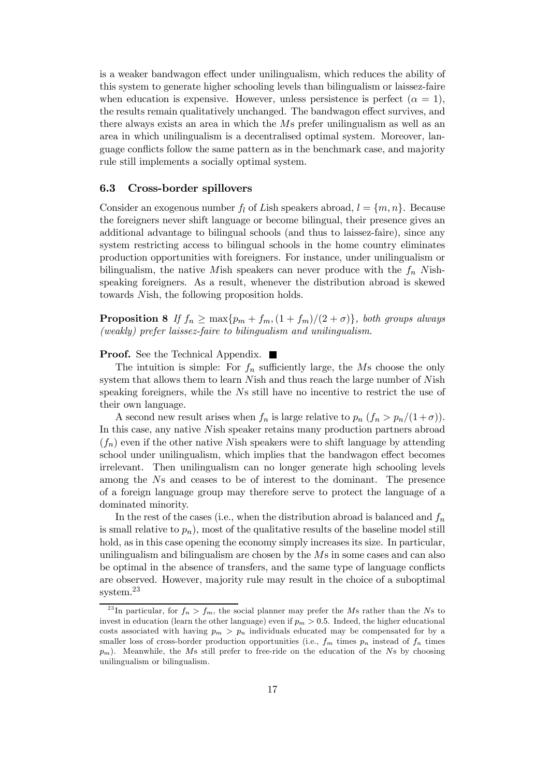is a weaker bandwagon effect under unilingualism, which reduces the ability of this system to generate higher schooling levels than bilingualism or laissez-faire when education is expensive. However, unless persistence is perfect  $(\alpha = 1)$ , the results remain qualitatively unchanged. The bandwagon effect survives, and there always exists an area in which the Ms prefer unilingualism as well as an area in which unilingualism is a decentralised optimal system. Moreover, language conflicts follow the same pattern as in the benchmark case, and majority rule still implements a socially optimal system.

#### 6.3 Cross-border spillovers

Consider an exogenous number  $f_l$  of Lish speakers abroad,  $l = \{m, n\}$ . Because the foreigners never shift language or become bilingual, their presence gives an additional advantage to bilingual schools (and thus to laissez-faire), since any system restricting access to bilingual schools in the home country eliminates production opportunities with foreigners. For instance, under unilingualism or bilingualism, the native Mish speakers can never produce with the  $f_n$  Nishspeaking foreigners. As a result, whenever the distribution abroad is skewed towards Nish, the following proposition holds.

**Proposition 8** If  $f_n \ge \max\{p_m + f_m, (1 + f_m)/(2 + \sigma)\}\$ , both groups always (weakly) prefer laissez-faire to bilingualism and unilingualism.

**Proof.** See the Technical Appendix. ■

The intuition is simple: For  $f_n$  sufficiently large, the Ms choose the only system that allows them to learn Nish and thus reach the large number of Nish speaking foreigners, while the Ns still have no incentive to restrict the use of their own language.

A second new result arises when  $f_n$  is large relative to  $p_n$   $(f_n > p_n/(1+\sigma))$ . In this case, any native Nish speaker retains many production partners abroad  $(f_n)$  even if the other native Nish speakers were to shift language by attending school under unilingualism, which implies that the bandwagon effect becomes irrelevant. Then unilingualism can no longer generate high schooling levels among the Ns and ceases to be of interest to the dominant. The presence of a foreign language group may therefore serve to protect the language of a dominated minority.

In the rest of the cases (i.e., when the distribution abroad is balanced and  $f_n$ is small relative to  $p_n$ ), most of the qualitative results of the baseline model still hold, as in this case opening the economy simply increases its size. In particular, unilingualism and bilingualism are chosen by the Ms in some cases and can also be optimal in the absence of transfers, and the same type of language conflicts are observed. However, majority rule may result in the choice of a suboptimal system.<sup>23</sup>

<sup>&</sup>lt;sup>23</sup>In particular, for  $f_n > f_m$ , the social planner may prefer the Ms rather than the Ns to invest in education (learn the other language) even if  $p_m > 0.5$ . Indeed, the higher educational costs associated with having  $p_m > p_n$  individuals educated may be compensated for by a smaller loss of cross-border production opportunities (i.e.,  $f_m$  times  $p_n$  instead of  $f_n$  times  $p_m$ ). Meanwhile, the Ms still prefer to free-ride on the education of the Ns by choosing unilingualism or bilingualism.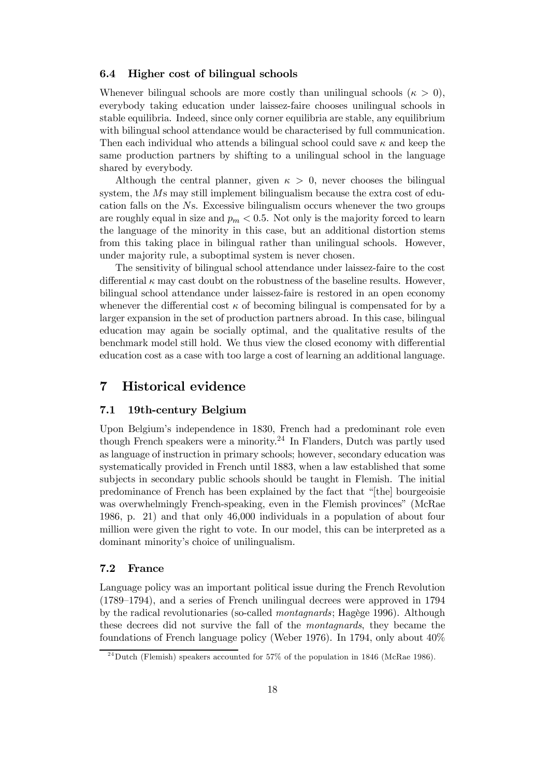#### 6.4 Higher cost of bilingual schools

Whenever bilingual schools are more costly than unilingual schools  $(\kappa > 0)$ , everybody taking education under laissez-faire chooses unilingual schools in stable equilibria. Indeed, since only corner equilibria are stable, any equilibrium with bilingual school attendance would be characterised by full communication. Then each individual who attends a bilingual school could save  $\kappa$  and keep the same production partners by shifting to a unilingual school in the language shared by everybody.

Although the central planner, given  $\kappa > 0$ , never chooses the bilingual system, the Ms may still implement bilingualism because the extra cost of education falls on the Ns. Excessive bilingualism occurs whenever the two groups are roughly equal in size and  $p_m < 0.5$ . Not only is the majority forced to learn the language of the minority in this case, but an additional distortion stems from this taking place in bilingual rather than unilingual schools. However, under majority rule, a suboptimal system is never chosen.

The sensitivity of bilingual school attendance under laissez-faire to the cost differential  $\kappa$  may cast doubt on the robustness of the baseline results. However, bilingual school attendance under laissez-faire is restored in an open economy whenever the differential cost  $\kappa$  of becoming bilingual is compensated for by a larger expansion in the set of production partners abroad. In this case, bilingual education may again be socially optimal, and the qualitative results of the benchmark model still hold. We thus view the closed economy with differential education cost as a case with too large a cost of learning an additional language.

## 7 Historical evidence

#### 7.1 19th-century Belgium

Upon Belgium's independence in 1830, French had a predominant role even though French speakers were a minority.<sup>24</sup> In Flanders, Dutch was partly used as language of instruction in primary schools; however, secondary education was systematically provided in French until 1883, when a law established that some subjects in secondary public schools should be taught in Flemish. The initial predominance of French has been explained by the fact that "[the] bourgeoisie was overwhelmingly French-speaking, even in the Flemish provinces" (McRae 1986, p. 21) and that only 46,000 individuals in a population of about four million were given the right to vote. In our model, this can be interpreted as a dominant minority's choice of unilingualism.

#### 7.2 France

Language policy was an important political issue during the French Revolution (1789—1794), and a series of French unilingual decrees were approved in 1794 by the radical revolutionaries (so-called montagnards; Hagège 1996). Although these decrees did not survive the fall of the montagnards, they became the foundations of French language policy (Weber 1976). In 1794, only about 40%

 $^{24}$ Dutch (Flemish) speakers accounted for 57% of the population in 1846 (McRae 1986).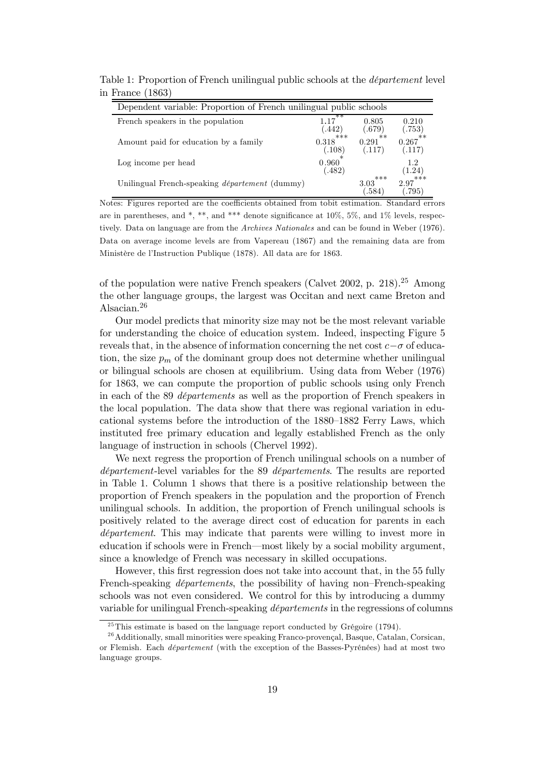| Table 1: Proportion of French unilingual public schools at the <i>département</i> level |  |
|-----------------------------------------------------------------------------------------|--|
| in France $(1863)$                                                                      |  |

| Dependent variable: Proportion of French unilingual public schools |                                      |                         |                        |
|--------------------------------------------------------------------|--------------------------------------|-------------------------|------------------------|
| French speakers in the population                                  | **<br>(.442)                         | 0.805<br>(.679)         | 0.210<br>(.753)        |
| Amount paid for education by a family                              | ***<br>0.318<br>$\left( .108\right)$ | $**$<br>0.291<br>(.117) | **<br>0.267<br>(.117)  |
| Log income per head                                                | 0.960<br>482                         |                         | 12<br>(1.24)           |
| Unilingual French-speaking département (dummy)                     |                                      | ***<br>3.03<br>.584     | ***<br>2.97<br>$-795)$ |

Notes: Figures reported are the coefficients obtained from tobit estimation. Standard errors are in parentheses, and \*, \*\*, and \*\*\* denote significance at  $10\%$ ,  $5\%$ , and  $1\%$  levels, respectively. Data on language are from the Archives Nationales and can be found in Weber (1976). Data on average income levels are from Vapereau (1867) and the remaining data are from Ministère de l'Instruction Publique (1878). All data are for 1863.

of the population were native French speakers (Calvet 2002, p. 218).<sup>25</sup> Among the other language groups, the largest was Occitan and next came Breton and Alsacian.<sup>26</sup>

Our model predicts that minority size may not be the most relevant variable for understanding the choice of education system. Indeed, inspecting Figure 5 reveals that, in the absence of information concerning the net cost  $c-\sigma$  of education, the size  $p_m$  of the dominant group does not determine whether unilingual or bilingual schools are chosen at equilibrium. Using data from Weber (1976) for 1863, we can compute the proportion of public schools using only French in each of the 89 départements as well as the proportion of French speakers in the local population. The data show that there was regional variation in educational systems before the introduction of the 1880—1882 Ferry Laws, which instituted free primary education and legally established French as the only language of instruction in schools (Chervel 1992).

We next regress the proportion of French unilingual schools on a number of département-level variables for the 89 départements. The results are reported in Table 1. Column 1 shows that there is a positive relationship between the proportion of French speakers in the population and the proportion of French unilingual schools. In addition, the proportion of French unilingual schools is positively related to the average direct cost of education for parents in each département. This may indicate that parents were willing to invest more in education if schools were in French–most likely by a social mobility argument, since a knowledge of French was necessary in skilled occupations.

However, this first regression does not take into account that, in the 55 fully French-speaking départements, the possibility of having non—French-speaking schools was not even considered. We control for this by introducing a dummy variable for unilingual French-speaking départements in the regressions of columns

 $^{25}$ This estimate is based on the language report conducted by Grégoire (1794).

<sup>&</sup>lt;sup>26</sup> Additionally, small minorities were speaking Franco-provençal, Basque, Catalan, Corsican, or Flemish. Each département (with the exception of the Basses-Pyrénées) had at most two language groups.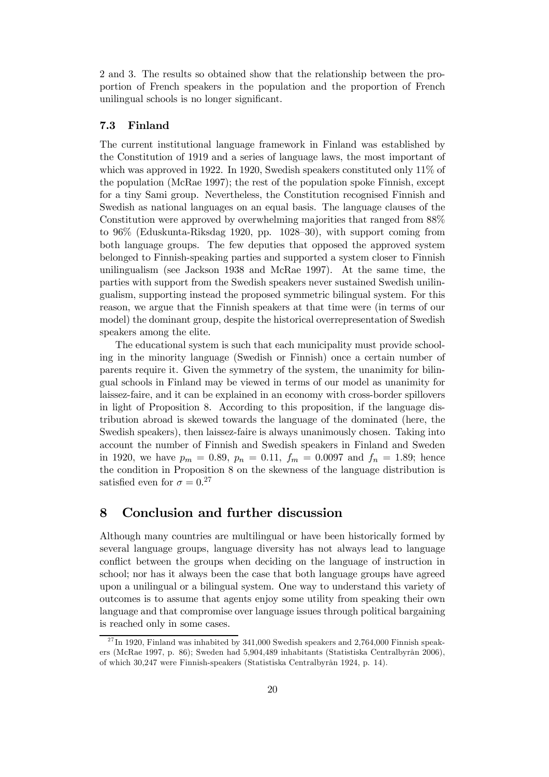2 and 3. The results so obtained show that the relationship between the proportion of French speakers in the population and the proportion of French unilingual schools is no longer significant.

#### 7.3 Finland

The current institutional language framework in Finland was established by the Constitution of 1919 and a series of language laws, the most important of which was approved in 1922. In 1920, Swedish speakers constituted only 11% of the population (McRae 1997); the rest of the population spoke Finnish, except for a tiny Sami group. Nevertheless, the Constitution recognised Finnish and Swedish as national languages on an equal basis. The language clauses of the Constitution were approved by overwhelming majorities that ranged from 88% to 96% (Eduskunta-Riksdag 1920, pp. 1028—30), with support coming from both language groups. The few deputies that opposed the approved system belonged to Finnish-speaking parties and supported a system closer to Finnish unilingualism (see Jackson 1938 and McRae 1997). At the same time, the parties with support from the Swedish speakers never sustained Swedish unilingualism, supporting instead the proposed symmetric bilingual system. For this reason, we argue that the Finnish speakers at that time were (in terms of our model) the dominant group, despite the historical overrepresentation of Swedish speakers among the elite.

The educational system is such that each municipality must provide schooling in the minority language (Swedish or Finnish) once a certain number of parents require it. Given the symmetry of the system, the unanimity for bilingual schools in Finland may be viewed in terms of our model as unanimity for laissez-faire, and it can be explained in an economy with cross-border spillovers in light of Proposition 8. According to this proposition, if the language distribution abroad is skewed towards the language of the dominated (here, the Swedish speakers), then laissez-faire is always unanimously chosen. Taking into account the number of Finnish and Swedish speakers in Finland and Sweden in 1920, we have  $p_m = 0.89$ ,  $p_n = 0.11$ ,  $f_m = 0.0097$  and  $f_n = 1.89$ ; hence the condition in Proposition 8 on the skewness of the language distribution is satisfied even for  $\sigma = 0.27$ 

## 8 Conclusion and further discussion

Although many countries are multilingual or have been historically formed by several language groups, language diversity has not always lead to language conflict between the groups when deciding on the language of instruction in school; nor has it always been the case that both language groups have agreed upon a unilingual or a bilingual system. One way to understand this variety of outcomes is to assume that agents enjoy some utility from speaking their own language and that compromise over language issues through political bargaining is reached only in some cases.

 $^{27}$ In 1920, Finland was inhabited by 341,000 Swedish speakers and 2,764,000 Finnish speakers (McRae 1997, p. 86); Sweden had 5,904,489 inhabitants (Statistiska Centralbyrån 2006), of which 30,247 were Finnish-speakers (Statistiska Centralbyrån 1924, p. 14).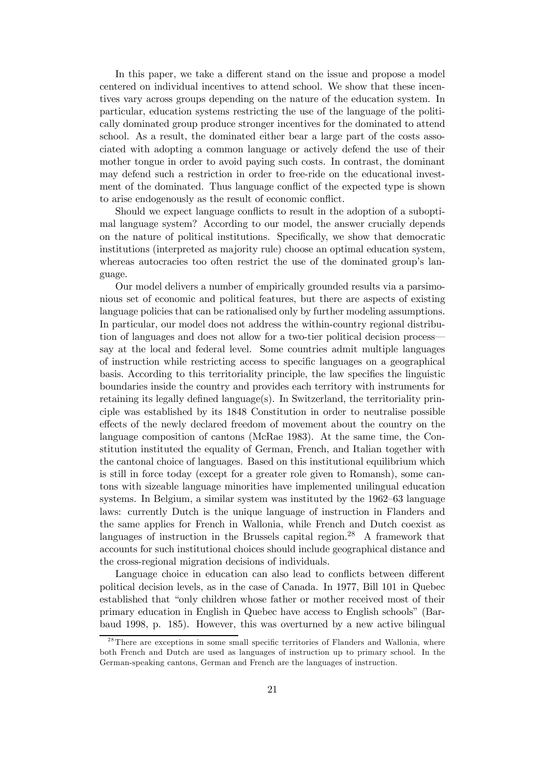In this paper, we take a different stand on the issue and propose a model centered on individual incentives to attend school. We show that these incentives vary across groups depending on the nature of the education system. In particular, education systems restricting the use of the language of the politically dominated group produce stronger incentives for the dominated to attend school. As a result, the dominated either bear a large part of the costs associated with adopting a common language or actively defend the use of their mother tongue in order to avoid paying such costs. In contrast, the dominant may defend such a restriction in order to free-ride on the educational investment of the dominated. Thus language conflict of the expected type is shown to arise endogenously as the result of economic conflict.

Should we expect language conflicts to result in the adoption of a suboptimal language system? According to our model, the answer crucially depends on the nature of political institutions. Specifically, we show that democratic institutions (interpreted as majority rule) choose an optimal education system, whereas autocracies too often restrict the use of the dominated group's language.

Our model delivers a number of empirically grounded results via a parsimonious set of economic and political features, but there are aspects of existing language policies that can be rationalised only by further modeling assumptions. In particular, our model does not address the within-country regional distribution of languages and does not allow for a two-tier political decision process– say at the local and federal level. Some countries admit multiple languages of instruction while restricting access to specific languages on a geographical basis. According to this territoriality principle, the law specifies the linguistic boundaries inside the country and provides each territory with instruments for retaining its legally defined language(s). In Switzerland, the territoriality principle was established by its 1848 Constitution in order to neutralise possible effects of the newly declared freedom of movement about the country on the language composition of cantons (McRae 1983). At the same time, the Constitution instituted the equality of German, French, and Italian together with the cantonal choice of languages. Based on this institutional equilibrium which is still in force today (except for a greater role given to Romansh), some cantons with sizeable language minorities have implemented unilingual education systems. In Belgium, a similar system was instituted by the 1962—63 language laws: currently Dutch is the unique language of instruction in Flanders and the same applies for French in Wallonia, while French and Dutch coexist as languages of instruction in the Brussels capital region.<sup>28</sup> A framework that accounts for such institutional choices should include geographical distance and the cross-regional migration decisions of individuals.

Language choice in education can also lead to conflicts between different political decision levels, as in the case of Canada. In 1977, Bill 101 in Quebec established that "only children whose father or mother received most of their primary education in English in Quebec have access to English schools" (Barbaud 1998, p. 185). However, this was overturned by a new active bilingual

 $2<sup>28</sup>$ There are exceptions in some small specific territories of Flanders and Wallonia, where both French and Dutch are used as languages of instruction up to primary school. In the German-speaking cantons, German and French are the languages of instruction.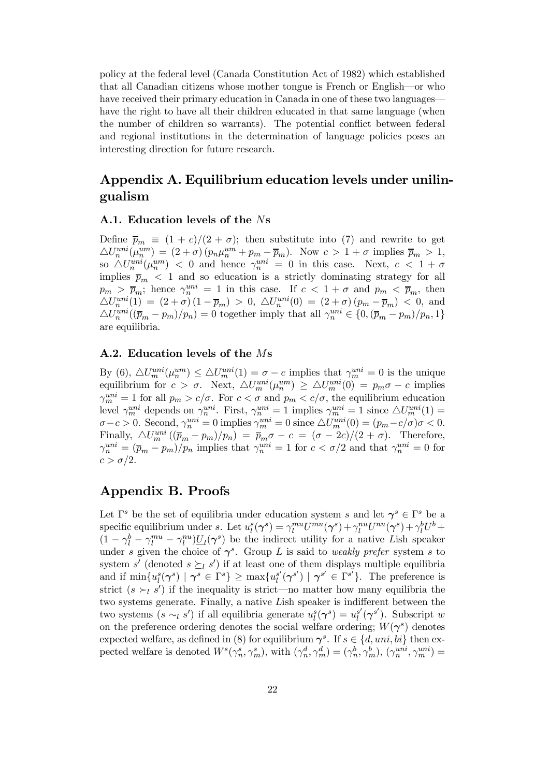policy at the federal level (Canada Constitution Act of 1982) which established that all Canadian citizens whose mother tongue is French or English–or who have received their primary education in Canada in one of these two languages have the right to have all their children educated in that same language (when the number of children so warrants). The potential conflict between federal and regional institutions in the determination of language policies poses an interesting direction for future research.

## Appendix A. Equilibrium education levels under unilingualism

#### A.1. Education levels of the Ns

Define  $\bar{p}_m \equiv (1+c)/(2+\sigma)$ ; then substitute into (7) and rewrite to get  $\triangle U_n^{uni}(\mu_n^{um}) = (2+\sigma)(p_n\mu_n^{um} + p_m - \overline{p}_m).$  Now  $c > 1+\sigma$  implies  $\overline{p}_m > 1$ , so  $\triangle U_n^{uni}(\mu_n^{um})$  < 0 and hence  $\gamma_n^{uni} = 0$  in this case. Next,  $c < 1 + \sigma$ implies  $\bar{p}_m$  < 1 and so education is a strictly dominating strategy for all  $p_m > \bar{p}_m$ ; hence  $\gamma_n^{uni} = 1$  in this case. If  $c < 1 + \sigma$  and  $p_m < \bar{p}_m$ , then  $\triangle U_n^{uni}(1) = (2+\sigma)(1-\bar{p}_m) > 0, \ \triangle U_n^{uni}(0) = (2+\sigma)(p_m-\bar{p}_m) < 0, \text{ and}$  $\triangle U_n^{uni}((\overline{p}_m - p_m)/p_n) = 0$  together imply that all  $\gamma_n^{uni} \in \{0, (\overline{p}_m - p_m)/p_n, 1\}$ are equilibria.

#### A.2. Education levels of the Ms

By (6),  $\Delta U_m^{uni}(\mu_n^{um}) \leq \Delta U_m^{uni}(1) = \sigma - c$  implies that  $\gamma_m^{uni} = 0$  is the unique equilibrium for  $c > \sigma$ . Next,  $\Delta U_m^{uni}(\mu_n^{um}) \geq \Delta U_m^{uni}(0) = p_m \sigma - c$  implies  $\gamma_m^{uni} = 1$  for all  $p_m > c/\sigma$ . For  $c < \sigma$  and  $p_m < c/\sigma$ , the equilibrium education level  $\gamma_m^{uni}$  depends on  $\gamma_n^{uni}$ . First,  $\gamma_n^{uni} = 1$  implies  $\gamma_m^{uni} = 1$  since  $\triangle U_m^{uni}(1) =$  $\sigma-c>0$ . Second,  $\gamma_n^{uni}=0$  implies  $\gamma_m^{uni}=0$  since  $\triangle U_m^{uni}(0)=(p_m-c/\sigma)\sigma<0$ . Finally,  $\Delta U_m^{uni}((\bar{p}_m - p_m)/p_n) = \bar{p}_m \sigma - c = (\sigma - 2c)/(2 + \sigma)$ . Therefore,  $\gamma_n^{uni} = (\bar{p}_m - p_m)/p_n$  implies that  $\gamma_n^{uni} = 1$  for  $c < \sigma/2$  and that  $\gamma_n^{uni} = 0$  for  $c > \sigma/2$ .

## Appendix B. Proofs

Let  $\Gamma^s$  be the set of equilibria under education system s and let  $\gamma^s \in \Gamma^s$  be a specific equilibrium under s. Let  $u_l^s(\gamma^s) = \gamma_l^{mu} U^{mu}(\gamma^s) + \gamma_l^{nu} U^{nu}(\gamma^s) + \gamma_l^b U^b +$  $(1 - \gamma_l^b - \gamma_l^{mu} - \gamma_l^{nu}) \underline{U}_l(\gamma^s)$  be the indirect utility for a native Lish speaker under s given the choice of  $\gamma^s$ . Group L is said to weakly prefer system s to system s' (denoted  $s \succeq_l s'$ ) if at least one of them displays multiple equilibria and if  $\min\{u_l^s(\boldsymbol{\gamma}^s) \mid \boldsymbol{\gamma}^s \in \Gamma^s\} \geq \max\{u_l^{s'}\}$  $\mathbf{g}'(\gamma^{s'}) \mid \gamma^{s'} \in \Gamma^{s'}$ . The preference is strict  $(s \succ_l s')$  if the inequality is strict—no matter how many equilibria the two systems generate. Finally, a native Lish speaker is indifferent between the two systems  $(s \sim_l s')$  if all equilibria generate  $u_l^s(\gamma^s) = u_l^{s'}$  $\int_l^{s'} (\gamma^{s'})$ . Subscript w on the preference ordering denotes the social welfare ordering;  $W(\gamma^s)$  denotes expected welfare, as defined in (8) for equilibrium  $\gamma^s$ . If  $s \in \{d, uni, bi\}$  then expected welfare is denoted  $W^s(\gamma_n^s, \gamma_m^s)$ , with  $(\gamma_n^d, \gamma_m^d) = (\gamma_n^b, \gamma_m^b)$ ,  $(\gamma_n^{uni}, \gamma_m^{uni}) =$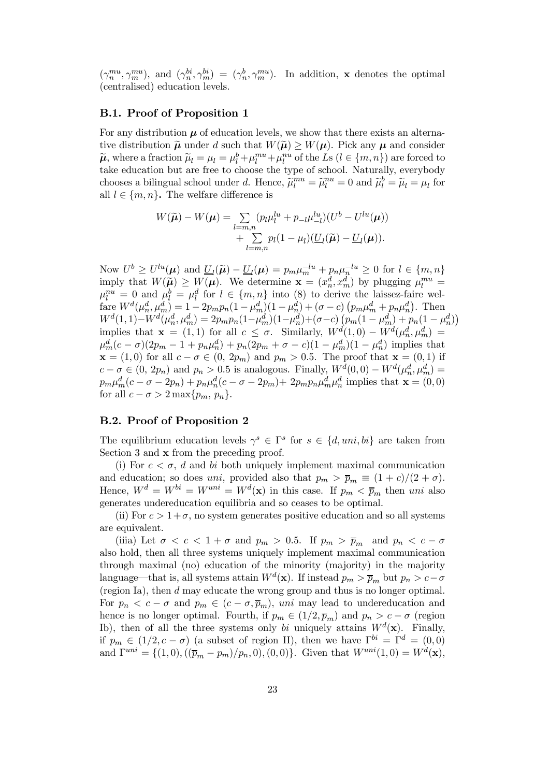$(\gamma_n^{mu}, \gamma_m^{mu})$ , and  $(\gamma_n^{bi}, \gamma_m^{bi}) = (\gamma_n^b, \gamma_m^{mu})$ . In addition, **x** denotes the optimal (centralised) education levels.

#### B.1. Proof of Proposition 1

For any distribution  $\mu$  of education levels, we show that there exists an alternative distribution  $\widetilde{\mu}$  under d such that  $W(\widetilde{\mu}) \geq W(\mu)$ . Pick any  $\mu$  and consider  $\tilde{\mu}$ , where a fraction  $\tilde{\mu}_l = \mu_l = \mu_l^b + \mu_l^{mu} + \mu_l^{nu}$  of the Ls  $(l \in \{m, n\})$  are forced to take education but are free to choose the type of school. Naturally, everybody chooses a bilingual school under d. Hence,  $\tilde{\mu}_l^{mu} = \tilde{\mu}_l^{nu} = 0$  and  $\tilde{\mu}_l^b = \tilde{\mu}_l = \mu_l$  for all  $l \in \{m, n\}$ . The welfare difference is

$$
W(\widetilde{\boldsymbol{\mu}}) - W(\boldsymbol{\mu}) = \sum_{l=m,n} (p_l \mu_l^{lu} + p_{-l} \mu_{-l}^{lu})(U^b - U^{lu}(\boldsymbol{\mu}))
$$
  
+ 
$$
\sum_{l=m,n} p_l (1 - \mu_l)(\underline{U}_l(\widetilde{\boldsymbol{\mu}}) - \underline{U}_l(\boldsymbol{\mu})).
$$

Now  $U^b \geq U^{lu}(\mu)$  and  $\underline{U}_l(\widetilde{\mu}) - \underline{U}_l(\mu) = p_m \mu_m^{-lu} + p_n \mu_n^{-lu} \geq 0$  for  $l \in \{m, n\}$ imply that  $W(\tilde{\mu}) \geq W(\mu)$ . We determine  $\mathbf{x} = (x_n^d, x_m^d)$  by plugging  $\mu_l^{mu} =$  $\mu_l^{nu} = 0$  and  $\mu_l^b = \mu_l^d$  for  $l \in \{m, n\}$  into (8) to derive the laissez-faire welfare  $W^d(\mu_n^d, \mu_m^d) = 1 - 2p_m p_n (1 - \mu_m^d) (1 - \mu_n^d) + (\sigma - c) (p_m \mu_m^d + p_n \mu_n^d)$ . Then  $W^{d}(1,1)-W^{d}(\mu_n^d, \mu_m^d)=2p_m p_n(1-\mu_m^d)(1-\mu_n^d)+(\sigma-c)\left(p_m(1-\mu_m^d)+p_n(1-\mu_n^d)\right)$ implies that  $\mathbf{x} = (1,1)$  for all  $c \leq \sigma$ . Similarly,  $W^{d}(1,0) - W^{d}(\mu_n^d, \mu_m^d) =$  $\mu_m^d(c - \sigma)(2p_m - 1 + p_n\mu_n^d) + p_n(2p_m + \sigma - c)(1 - \mu_m^d)(1 - \mu_n^d)$  implies that  $\mathbf{x} = (1,0)$  for all  $c - \sigma \in (0, 2p_m)$  and  $p_m > 0.5$ . The proof that  $\mathbf{x} = (0,1)$  if  $c - \sigma \in (0, 2p_n)$  and  $p_n > 0.5$  is analogous. Finally,  $W^d(0,0) - W^d(\mu_n^d, \mu_m^d) =$  $p_m \mu_m^d(c - \sigma - 2p_n) + p_n \mu_n^d(c - \sigma - 2p_m) + 2p_m p_n \mu_m^d \mu_n^d$  implies that  $\mathbf{x} = (0, 0)$ for all  $c - \sigma > 2 \max\{p_m, p_n\}.$ 

#### B.2. Proof of Proposition 2

The equilibrium education levels  $\gamma^s \in \Gamma^s$  for  $s \in \{d, uni, bi\}$  are taken from Section 3 and x from the preceding proof.

(i) For  $c < \sigma$ , d and bi both uniquely implement maximal communication and education; so does uni, provided also that  $p_m > \bar{p}_m \equiv (1+c)/(2+\sigma)$ . Hence,  $W^d = W^{bi} = W^{uni} = W^d(\mathbf{x})$  in this case. If  $p_m < \overline{p}_m$  then uni also generates undereducation equilibria and so ceases to be optimal.

(ii) For  $c > 1+\sigma$ , no system generates positive education and so all systems are equivalent.

(iiia) Let  $\sigma < c < 1 + \sigma$  and  $p_m > 0.5$ . If  $p_m > \bar{p}_m$  and  $p_n < c - \sigma$ also hold, then all three systems uniquely implement maximal communication through maximal (no) education of the minority (majority) in the majority language—that is, all systems attain  $W^d(\mathbf{x})$ . If instead  $p_m > \overline{p}_m$  but  $p_n > c - \sigma$ (region Ia), then d may educate the wrong group and thus is no longer optimal. For  $p_n < c - \sigma$  and  $p_m \in (c - \sigma, \overline{p}_m)$ , uni may lead to undereducation and hence is no longer optimal. Fourth, if  $p_m \in (1/2, \overline{p}_m)$  and  $p_n > c - \sigma$  (region Ib), then of all the three systems only bi uniquely attains  $W^d(\mathbf{x})$ . Finally, if  $p_m \in (1/2, c - \sigma)$  (a subset of region II), then we have  $\Gamma^{bi} = \Gamma^d = (0, 0)$ and  $\Gamma^{uni} = \{(1,0), ((\bar{p}_m - p_m)/p_n, 0), (0, 0)\}.$  Given that  $W^{uni}(1, 0) = W^d(\mathbf{x}),$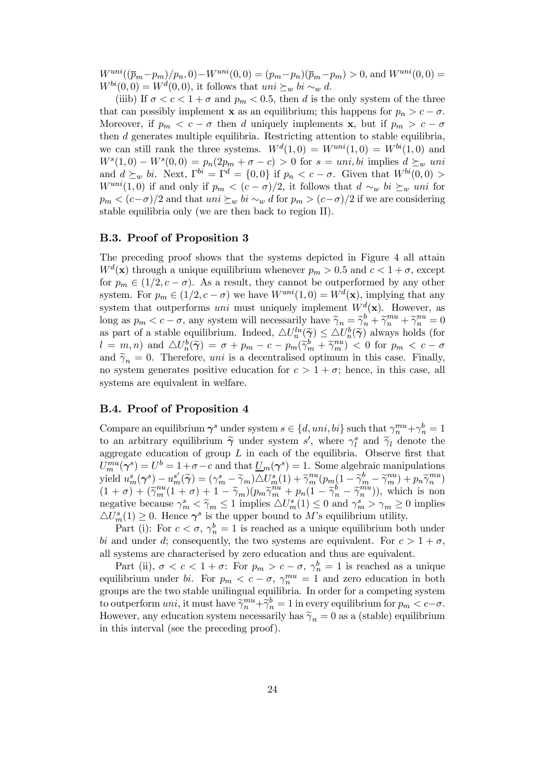$W^{uni}((\bar{p}_m-p_m)/p_n, 0) - W^{uni}(0, 0) = (p_m-p_n)(\bar{p}_m-p_m) > 0$ , and  $W^{uni}(0, 0) =$  $W^{bi}(0,0) = W^{d}(0,0)$ , it follows that uni  $\succeq_w bi \sim_w d$ .

(iiib) If  $\sigma < c < 1 + \sigma$  and  $p_m < 0.5$ , then d is the only system of the three that can possibly implement **x** as an equilibrium; this happens for  $p_n > c - \sigma$ . Moreover, if  $p_m < c - \sigma$  then d uniquely implements x, but if  $p_m > c - \sigma$ then d generates multiple equilibria. Restricting attention to stable equilibria, we can still rank the three systems.  $W<sup>d</sup>(1,0) = W<sup>uni</sup>(1,0) = W<sup>bi</sup>(1,0)$  and  $W<sup>s</sup>(1,0) - W<sup>s</sup>(0,0) = p<sub>n</sub>(2p<sub>m</sub> + \sigma - c) > 0$  for  $s = uni, bi$  implies  $d \succeq_w uni$ and  $d \succeq_w bi$ . Next,  $\Gamma^{bi} = \Gamma^d = \{0, 0\}$  if  $p_n < c - \sigma$ . Given that  $W^{bi}(0, 0) >$  $W^{uni}(1,0)$  if and only if  $p_m < (c - \sigma)/2$ , it follows that  $d \sim_w bi \succeq_w uni$  for  $p_m < (c-\sigma)/2$  and that  $uni \succeq_w bi \sim_w d$  for  $p_m > (c-\sigma)/2$  if we are considering stable equilibria only (we are then back to region II).

#### B.3. Proof of Proposition 3

The preceding proof shows that the systems depicted in Figure 4 all attain  $W^d(\mathbf{x})$  through a unique equilibrium whenever  $p_m > 0.5$  and  $c < 1 + \sigma$ , except for  $p_m \in (1/2, c - \sigma)$ . As a result, they cannot be outperformed by any other system. For  $p_m \in (1/2, c - \sigma)$  we have  $W^{uni}(1, 0) = W^d(\mathbf{x})$ , implying that any system that outperforms uni must uniquely implement  $W^d(\mathbf{x})$ . However, as long as  $p_m < c - \sigma$ , any system will necessarily have  $\widetilde{\gamma}_n = \widetilde{\gamma}_n^b + \widetilde{\gamma}_n^{mu} + \widetilde{\gamma}_n^{nu} = 0$ as part of a stable equilibrium. Indeed,  $\Delta U_n^{lu}(\tilde{\gamma}) \leq \Delta U_n^{b}(\tilde{\gamma})$  always holds (for  $l = m, n$ ) and  $\triangle U_n^b(\tilde{\gamma}) = \sigma + p_m - c - p_m(\tilde{\gamma}_m^b + \tilde{\gamma}_m^{nu}) < 0$  for  $p_m < c - \sigma$ and  $\tilde{\gamma}_n = 0$ . Therefore, *uni* is a decentralised optimum in this case. Finally, no system generates positive education for  $c > 1 + \sigma$ ; hence, in this case, all systems are equivalent in welfare.

#### B.4. Proof of Proposition 4

Compare an equilibrium  $\gamma^s$  under system  $s \in \{d, uni, bi\}$  such that  $\gamma_n^{mu} + \gamma_n^b = 1$ to an arbitrary equilibrium  $\tilde{\gamma}$  under system s', where  $\gamma_l^s$  and  $\tilde{\gamma}_l$  denote the aggregate education of group  $L$  in each of the equilibria. Observe first that  $U_m^{mu}(\gamma^s) = U^b = 1 + \sigma - c$  and that  $\underline{U}_m(\gamma^s) = 1$ . Some algebraic manipulations  $\text{yield } u_m^s(\boldsymbol{\gamma}^s) - u_m^{s'}(\widetilde{\boldsymbol{\gamma}}) = (\gamma_m^s - \widetilde{\gamma}_m) \widetilde{\triangle U_m^s(1)} + \widetilde{\gamma}_m^{nu}(p_m(1 - \widetilde{\gamma}_m^b - \widetilde{\gamma}_m^{nu}) + p_n \widetilde{\gamma}_n^{mu})$  $(1 + \sigma) + (\tilde{\gamma}_m^{nu}(1 + \sigma) + 1 - \tilde{\gamma}_m)(p_m \tilde{\gamma}_m^{nu} + p_n(1 - \tilde{\gamma}_n^b - \tilde{\gamma}_n^{mu}))$ , which is non negative because  $\gamma_m^s < \widetilde{\gamma}_m \leq 1$  implies  $\triangle U_m^s(1) \leq 0$  and  $\gamma_m^s > \gamma_m \geq 0$  implies  $\triangle U_m^s(1) \geq 0$ . Hence  $\gamma^s$  is the upper bound to M's equilibrium utility.

Part (i): For  $c < \sigma$ ,  $\gamma_n^b = 1$  is reached as a unique equilibrium both under bi and under d; consequently, the two systems are equivalent. For  $c > 1 + \sigma$ , all systems are characterised by zero education and thus are equivalent.

Part (ii),  $\sigma < c < 1 + \sigma$ : For  $p_m > c - \sigma$ ,  $\gamma_n^b = 1$  is reached as a unique equilibrium under bi. For  $p_m < c - \sigma$ ,  $\gamma_n^{mu} = 1$  and zero education in both groups are the two stable unilingual equilibria. In order for a competing system to outperform  $uni$ , it must have  $\widetilde{\gamma}_n^{mu} + \widetilde{\gamma}_n^b = 1$  in every equilibrium for  $p_m < c - \sigma$ . However, any education system necessarily has  $\tilde{\gamma}_n = 0$  as a (stable) equilibrium in this interval (see the preceding proof).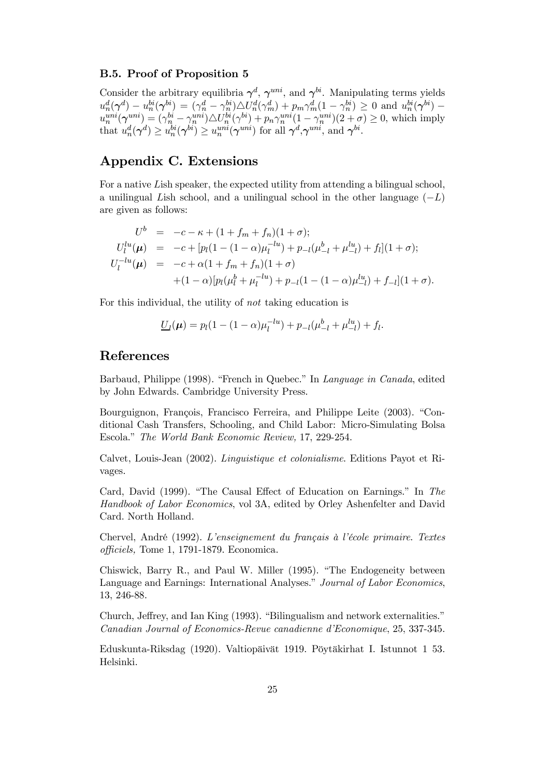#### B.5. Proof of Proposition 5

Consider the arbitrary equilibria  $\gamma^d$ ,  $\gamma^{uni}$ , and  $\gamma^{bi}$ . Manipulating terms yields  $u_n^d(\boldsymbol{\gamma}^d) - u_n^{bi}(\boldsymbol{\gamma}^{bi}) = (\gamma_n^d - \gamma_n^{bi})\triangle U_n^d(\gamma_m^d) + p_m\gamma_m^d(1-\gamma_n^{bi}) \geq 0$  and  $u_n^{bi}(\boldsymbol{\gamma}^{bi})$  $u_n^{uni}(\gamma^{uni}) = (\gamma_n^{bi} - \gamma_n^{uni}) \triangle U_n^{bi}(\gamma^{bi}) + p_n \gamma_n^{uni} (1 - \gamma_n^{uni}) (2 + \sigma) \ge 0$ , which imply that  $u_n^d(\gamma^d) \ge u_n^{bi}(\gamma^{bi}) \ge u_n^{uni}(\gamma^{uni})$  for all  $\gamma^d, \gamma^{uni}$ , and  $\gamma^{bi}$ .

## Appendix C. Extensions

For a native Lish speaker, the expected utility from attending a bilingual school, a unilingual Lish school, and a unilingual school in the other language  $(-L)$ are given as follows:

$$
U^b = -c - \kappa + (1 + f_m + f_n)(1 + \sigma);
$$
  
\n
$$
U_l^{lu}(\mu) = -c + [p_l(1 - (1 - \alpha)\mu_l^{-lu}) + p_{-l}(\mu_{-l}^b + \mu_{-l}^{lu}) + f_l](1 + \sigma);
$$
  
\n
$$
U_l^{-lu}(\mu) = -c + \alpha(1 + f_m + f_n)(1 + \sigma)
$$
  
\n
$$
+ (1 - \alpha)[p_l(\mu_l^b + \mu_l^{-lu}) + p_{-l}(1 - (1 - \alpha)\mu_{-l}^{lu}) + f_{-l}](1 + \sigma).
$$

For this individual, the utility of not taking education is

$$
\underline{U}_l(\mu) = p_l(1 - (1 - \alpha)\mu_l^{-lu}) + p_{-l}(\mu_{-l}^b + \mu_{-l}^{lu}) + f_l.
$$

### References

Barbaud, Philippe (1998). "French in Quebec." In Language in Canada, edited by John Edwards. Cambridge University Press.

Bourguignon, François, Francisco Ferreira, and Philippe Leite (2003). "Conditional Cash Transfers, Schooling, and Child Labor: Micro-Simulating Bolsa Escola." The World Bank Economic Review, 17, 229-254.

Calvet, Louis-Jean (2002). Linguistique et colonialisme. Editions Payot et Rivages.

Card, David (1999). "The Causal Effect of Education on Earnings." In The Handbook of Labor Economics, vol 3A, edited by Orley Ashenfelter and David Card. North Holland.

Chervel, André (1992). L'enseignement du français à l'école primaire. Textes officiels, Tome 1, 1791-1879. Economica.

Chiswick, Barry R., and Paul W. Miller (1995). "The Endogeneity between Language and Earnings: International Analyses." Journal of Labor Economics, 13, 246-88.

Church, Jeffrey, and Ian King (1993). "Bilingualism and network externalities." Canadian Journal of Economics-Revue canadienne d'Economique, 25, 337-345.

Eduskunta-Riksdag (1920). Valtiopäivät 1919. Pöytäkirhat I. Istunnot 1 53. Helsinki.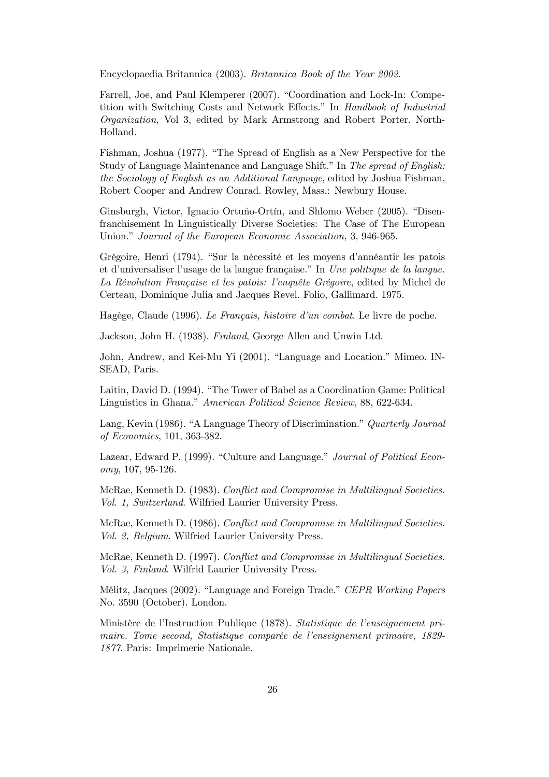Encyclopaedia Britannica (2003). Britannica Book of the Year 2002.

Farrell, Joe, and Paul Klemperer (2007). "Coordination and Lock-In: Competition with Switching Costs and Network Effects." In Handbook of Industrial Organization, Vol 3, edited by Mark Armstrong and Robert Porter. North-Holland.

Fishman, Joshua (1977). "The Spread of English as a New Perspective for the Study of Language Maintenance and Language Shift." In The spread of English: the Sociology of English as an Additional Language, edited by Joshua Fishman, Robert Cooper and Andrew Conrad. Rowley, Mass.: Newbury House.

Ginsburgh, Victor, Ignacio Ortuño-Ortín, and Shlomo Weber (2005). "Disenfranchisement In Linguistically Diverse Societies: The Case of The European Union." Journal of the European Economic Association, 3, 946-965.

Grégoire, Henri (1794). "Sur la nécessité et les moyens d'annéantir les patois et d'universaliser l'usage de la langue française." In Une politique de la langue. La Révolution Française et les patois: l'enquête Grégoire, edited by Michel de Certeau, Dominique Julia and Jacques Revel. Folio, Gallimard. 1975.

Hagège, Claude (1996). Le Français, histoire d'un combat. Le livre de poche.

Jackson, John H. (1938). Finland, George Allen and Unwin Ltd.

John, Andrew, and Kei-Mu Yi (2001). "Language and Location." Mimeo. IN-SEAD, Paris.

Laitin, David D. (1994). "The Tower of Babel as a Coordination Game: Political Linguistics in Ghana." American Political Science Review, 88, 622-634.

Lang, Kevin (1986). "A Language Theory of Discrimination." Quarterly Journal of Economics, 101, 363-382.

Lazear, Edward P. (1999). "Culture and Language." Journal of Political Economy, 107, 95-126.

McRae, Kenneth D. (1983). Conflict and Compromise in Multilingual Societies. Vol. 1, Switzerland. Wilfried Laurier University Press.

McRae, Kenneth D. (1986). Conflict and Compromise in Multilingual Societies. Vol. 2, Belgium. Wilfried Laurier University Press.

McRae, Kenneth D. (1997). Conflict and Compromise in Multilingual Societies. Vol. 3, Finland. Wilfrid Laurier University Press.

Mélitz, Jacques (2002). "Language and Foreign Trade." CEPR Working Papers No. 3590 (October). London.

Ministère de l'Instruction Publique (1878). Statistique de l'enseignement primaire. Tome second, Statistique comparée de l'enseignement primaire, 1829- 1877. Paris: Imprimerie Nationale.